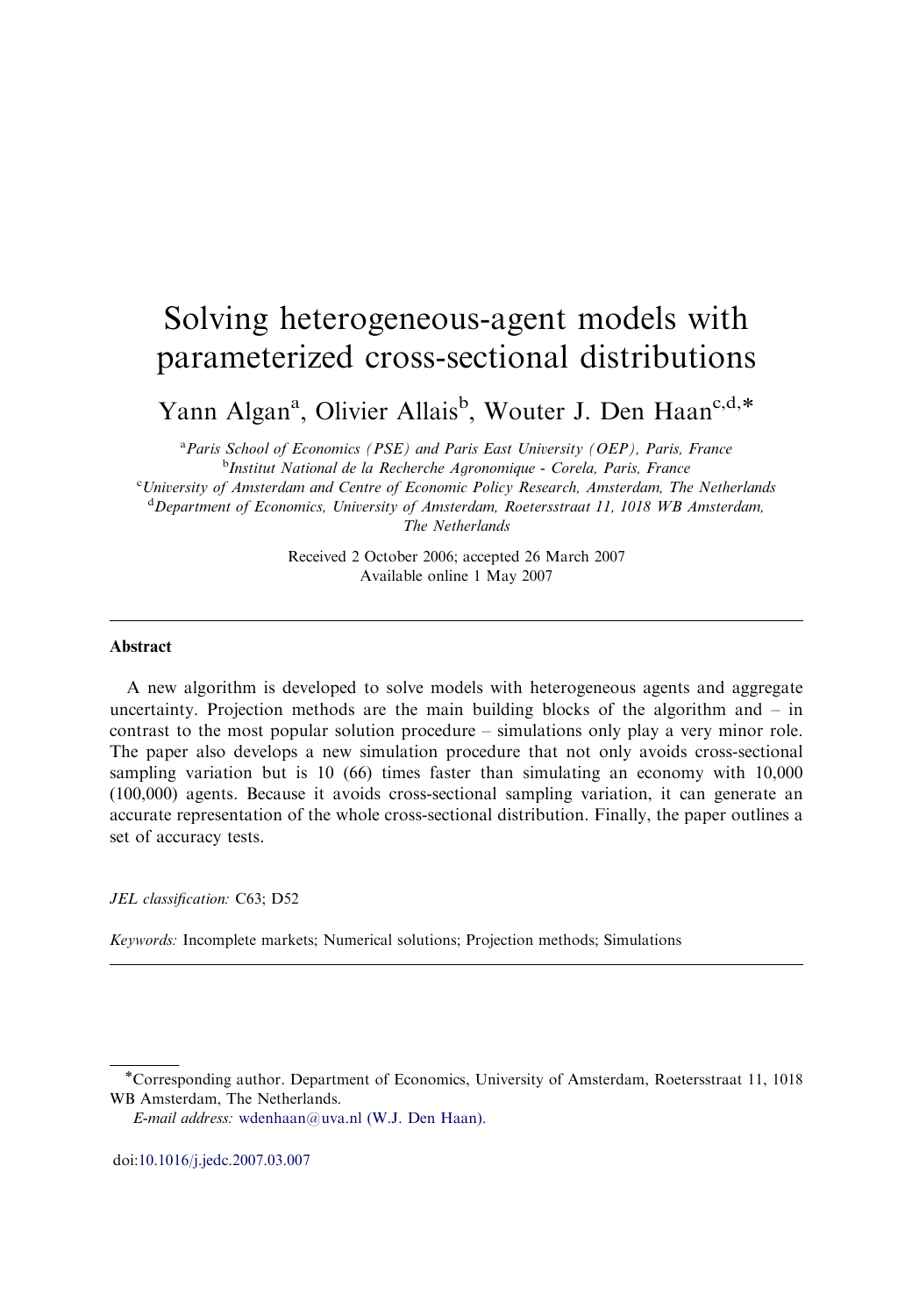# Solving heterogeneous-agent models with parameterized cross-sectional distributions

Yann Algan<sup>a</sup>, Olivier Allais<sup>b</sup>, Wouter J. Den Haan<sup>c,d,\*</sup>

<sup>a</sup> Paris School of Economics (PSE) and Paris East University (OEP), Paris, France <sup>b</sup>Institut National de la Recherche Agronomique - Corela, Paris, France <sup>c</sup>University of Amsterdam and Centre of Economic Policy Research, Amsterdam, The Netherlands <sup>d</sup>Department of Economics, University of Amsterdam, Roetersstraat 11, 1018 WB Amsterdam, The Netherlands

> Received 2 October 2006; accepted 26 March 2007 Available online 1 May 2007

#### Abstract

A new algorithm is developed to solve models with heterogeneous agents and aggregate uncertainty. Projection methods are the main building blocks of the algorithm and  $-$  in contrast to the most popular solution procedure – simulations only play a very minor role. The paper also develops a new simulation procedure that not only avoids cross-sectional sampling variation but is 10 (66) times faster than simulating an economy with 10,000 (100,000) agents. Because it avoids cross-sectional sampling variation, it can generate an accurate representation of the whole cross-sectional distribution. Finally, the paper outlines a set of accuracy tests.

JEL classification: C63; D52

Keywords: Incomplete markets; Numerical solutions; Projection methods; Simulations

doi:10.1016/j.jedc.2007.03.007

<sup>\*</sup>Corresponding author. Department of Economics, University of Amsterdam, Roetersstraat 11, 1018 WB Amsterdam, The Netherlands.

E-mail address: [wdenhaan@uva.nl \(W.J. Den Haan\).](mailto:wdenhaan@uva.nl)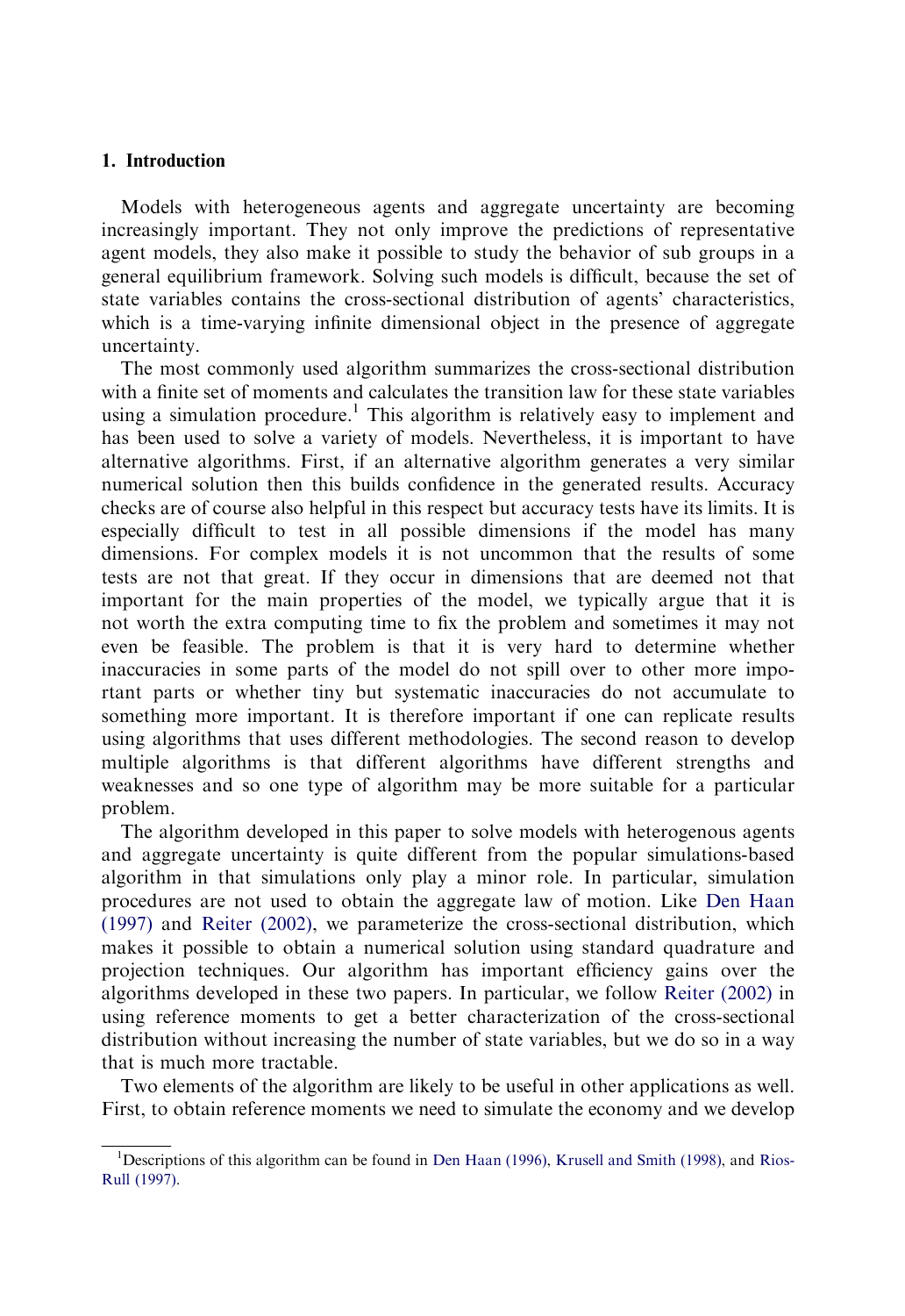# 1. Introduction

Models with heterogeneous agents and aggregate uncertainty are becoming increasingly important. They not only improve the predictions of representative agent models, they also make it possible to study the behavior of sub groups in a general equilibrium framework. Solving such models is difficult, because the set of state variables contains the cross-sectional distribution of agents' characteristics, which is a time-varying infinite dimensional object in the presence of aggregate uncertainty.

The most commonly used algorithm summarizes the cross-sectional distribution with a finite set of moments and calculates the transition law for these state variables using a simulation procedure.<sup>1</sup> This algorithm is relatively easy to implement and has been used to solve a variety of models. Nevertheless, it is important to have alternative algorithms. First, if an alternative algorithm generates a very similar numerical solution then this builds confidence in the generated results. Accuracy checks are of course also helpful in this respect but accuracy tests have its limits. It is especially difficult to test in all possible dimensions if the model has many dimensions. For complex models it is not uncommon that the results of some tests are not that great. If they occur in dimensions that are deemed not that important for the main properties of the model, we typically argue that it is not worth the extra computing time to fix the problem and sometimes it may not even be feasible. The problem is that it is very hard to determine whether inaccuracies in some parts of the model do not spill over to other more important parts or whether tiny but systematic inaccuracies do not accumulate to something more important. It is therefore important if one can replicate results using algorithms that uses different methodologies. The second reason to develop multiple algorithms is that different algorithms have different strengths and weaknesses and so one type of algorithm may be more suitable for a particular problem.

The algorithm developed in this paper to solve models with heterogenous agents and aggregate uncertainty is quite different from the popular simulations-based algorithm in that simulations only play a minor role. In particular, simulation procedures are not used to obtain the aggregate law of motion. Like [Den Haan](#page-32-0) [\(1997\)](#page-32-0) and [Reiter \(2002\),](#page-32-0) we parameterize the cross-sectional distribution, which makes it possible to obtain a numerical solution using standard quadrature and projection techniques. Our algorithm has important efficiency gains over the algorithms developed in these two papers. In particular, we follow [Reiter \(2002\)](#page-32-0) in using reference moments to get a better characterization of the cross-sectional distribution without increasing the number of state variables, but we do so in a way that is much more tractable.

Two elements of the algorithm are likely to be useful in other applications as well. First, to obtain reference moments we need to simulate the economy and we develop

<sup>&</sup>lt;sup>1</sup>Descriptions of this algorithm can be found in [Den Haan \(1996\),](#page-32-0) [Krusell and Smith \(1998\)](#page-32-0), and [Rios-](#page-33-0)[Rull \(1997\)](#page-33-0).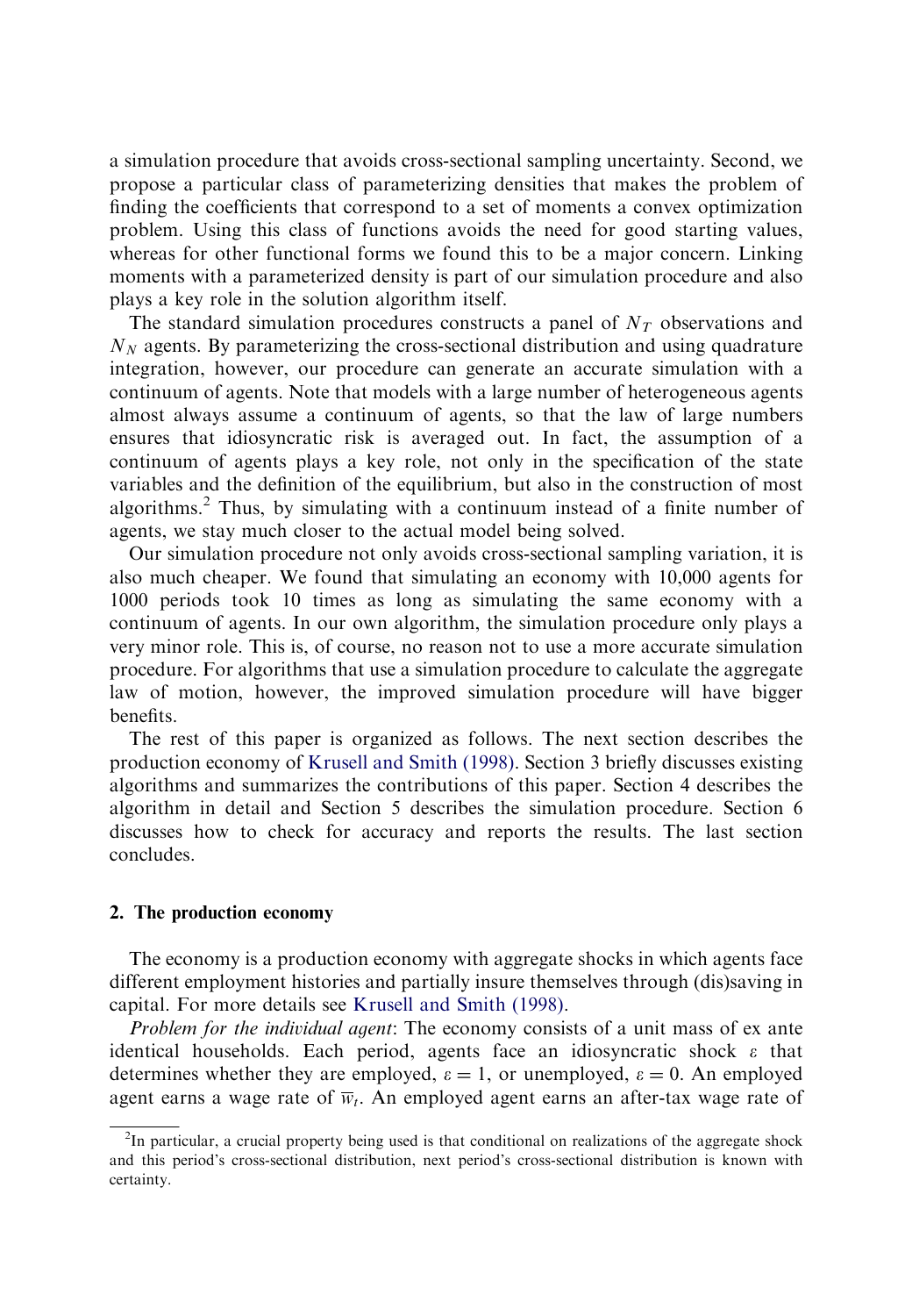a simulation procedure that avoids cross-sectional sampling uncertainty. Second, we propose a particular class of parameterizing densities that makes the problem of finding the coefficients that correspond to a set of moments a convex optimization problem. Using this class of functions avoids the need for good starting values, whereas for other functional forms we found this to be a major concern. Linking moments with a parameterized density is part of our simulation procedure and also plays a key role in the solution algorithm itself.

The standard simulation procedures constructs a panel of  $N<sub>T</sub>$  observations and  $N<sub>N</sub>$  agents. By parameterizing the cross-sectional distribution and using quadrature integration, however, our procedure can generate an accurate simulation with a continuum of agents. Note that models with a large number of heterogeneous agents almost always assume a continuum of agents, so that the law of large numbers ensures that idiosyncratic risk is averaged out. In fact, the assumption of a continuum of agents plays a key role, not only in the specification of the state variables and the definition of the equilibrium, but also in the construction of most algorithms.<sup>2</sup> Thus, by simulating with a continuum instead of a finite number of agents, we stay much closer to the actual model being solved.

Our simulation procedure not only avoids cross-sectional sampling variation, it is also much cheaper. We found that simulating an economy with 10,000 agents for 1000 periods took 10 times as long as simulating the same economy with a continuum of agents. In our own algorithm, the simulation procedure only plays a very minor role. This is, of course, no reason not to use a more accurate simulation procedure. For algorithms that use a simulation procedure to calculate the aggregate law of motion, however, the improved simulation procedure will have bigger benefits.

The rest of this paper is organized as follows. The next section describes the production economy of [Krusell and Smith \(1998\)](#page-32-0). Section 3 briefly discusses existing algorithms and summarizes the contributions of this paper. Section 4 describes the algorithm in detail and Section 5 describes the simulation procedure. Section 6 discusses how to check for accuracy and reports the results. The last section concludes.

#### 2. The production economy

The economy is a production economy with aggregate shocks in which agents face different employment histories and partially insure themselves through (dis)saving in capital. For more details see [Krusell and Smith \(1998\).](#page-32-0)

Problem for the individual agent: The economy consists of a unit mass of ex ante identical households. Each period, agents face an idiosyncratic shock  $\varepsilon$  that determines whether they are employed,  $\varepsilon = 1$ , or unemployed,  $\varepsilon = 0$ . An employed agent earns a wage rate of  $\overline{w}_t$ . An employed agent earns an after-tax wage rate of

 $2$ In particular, a crucial property being used is that conditional on realizations of the aggregate shock and this period's cross-sectional distribution, next period's cross-sectional distribution is known with certainty.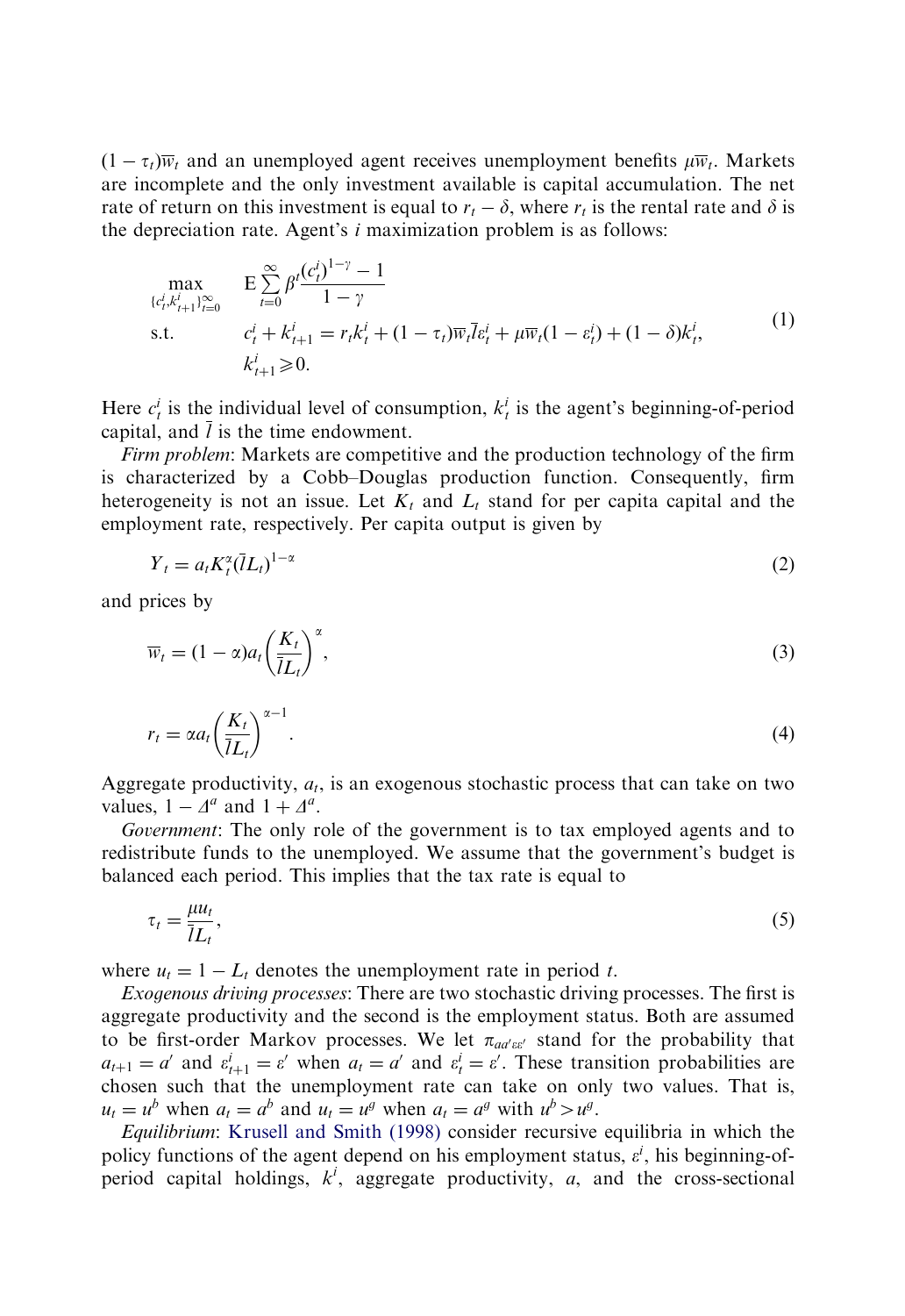$(1 - \tau_t)\overline{w}_t$  and an unemployed agent receives unemployment benefits  $\mu \overline{w}_t$ . Markets are incomplete and the only investment available is capital accumulation. The net rate of return on this investment is equal to  $r_t - \delta$ , where  $r_t$  is the rental rate and  $\delta$  is the depreciation rate. Agent's  $i$  maximization problem is as follows:

$$
\max_{\{c_t^i, k_{t+1}^i\}_{t=0}^{\infty}} \quad E \sum_{t=0}^{\infty} \beta^t \frac{(c_t^i)^{1-\gamma} - 1}{1-\gamma}
$$
\ns.t. 
$$
c_t^i + k_{t+1}^i = r_t k_t^i + (1 - \tau_t) \overline{w}_t \overline{1} e_t^i + \mu \overline{w}_t (1 - \varepsilon_t^i) + (1 - \delta) k_t^i,
$$
\n
$$
k_{t+1}^i \ge 0.
$$
\n(1)

Here  $c_t^i$  is the individual level of consumption,  $k_t^i$  is the agent's beginning-of-period capital, and  $\overline{l}$  is the time endowment.

Firm problem: Markets are competitive and the production technology of the firm is characterized by a Cobb–Douglas production function. Consequently, firm heterogeneity is not an issue. Let  $K_t$  and  $L_t$  stand for per capita capital and the employment rate, respectively. Per capita output is given by

$$
Y_t = a_t K_t^{\alpha} (\overline{l} L_t)^{1-\alpha} \tag{2}
$$

and prices by

$$
\overline{w}_t = (1 - \alpha) a_t \left(\frac{K_t}{\overline{l}L_t}\right)^{\alpha},\tag{3}
$$

$$
r_t = \alpha a_t \left(\frac{K_t}{\bar{l}L_t}\right)^{\alpha - 1}.\tag{4}
$$

Aggregate productivity,  $a_t$ , is an exogenous stochastic process that can take on two values,  $1 - \Delta^a$  and  $1 + \Delta^a$ .

Government: The only role of the government is to tax employed agents and to redistribute funds to the unemployed. We assume that the government's budget is balanced each period. This implies that the tax rate is equal to

$$
\tau_t = \frac{\mu u_t}{\bar{l}L_t},\tag{5}
$$

where  $u_t = 1 - L_t$  denotes the unemployment rate in period t.

Exogenous driving processes: There are two stochastic driving processes. The first is aggregate productivity and the second is the employment status. Both are assumed to be first-order Markov processes. We let  $\pi_{ad'ee'}$  stand for the probability that  $a_{t+1} = a'$  and  $\varepsilon_{t+1}^i = \varepsilon'$  when  $a_t = a'$  and  $\varepsilon_t^i = \varepsilon'$ . These transition probabilities are chosen such that the unemployment rate can take on only two values. That is,  $u_t = u^b$  when  $a_t = a^b$  and  $u_t = u^g$  when  $a_t = a^g$  with  $u^b > u^g$ .

Equilibrium: [Krusell and Smith \(1998\)](#page-32-0) consider recursive equilibria in which the policy functions of the agent depend on his employment status,  $\varepsilon^i$ , his beginning-ofperiod capital holdings,  $k^i$ , aggregate productivity, a, and the cross-sectional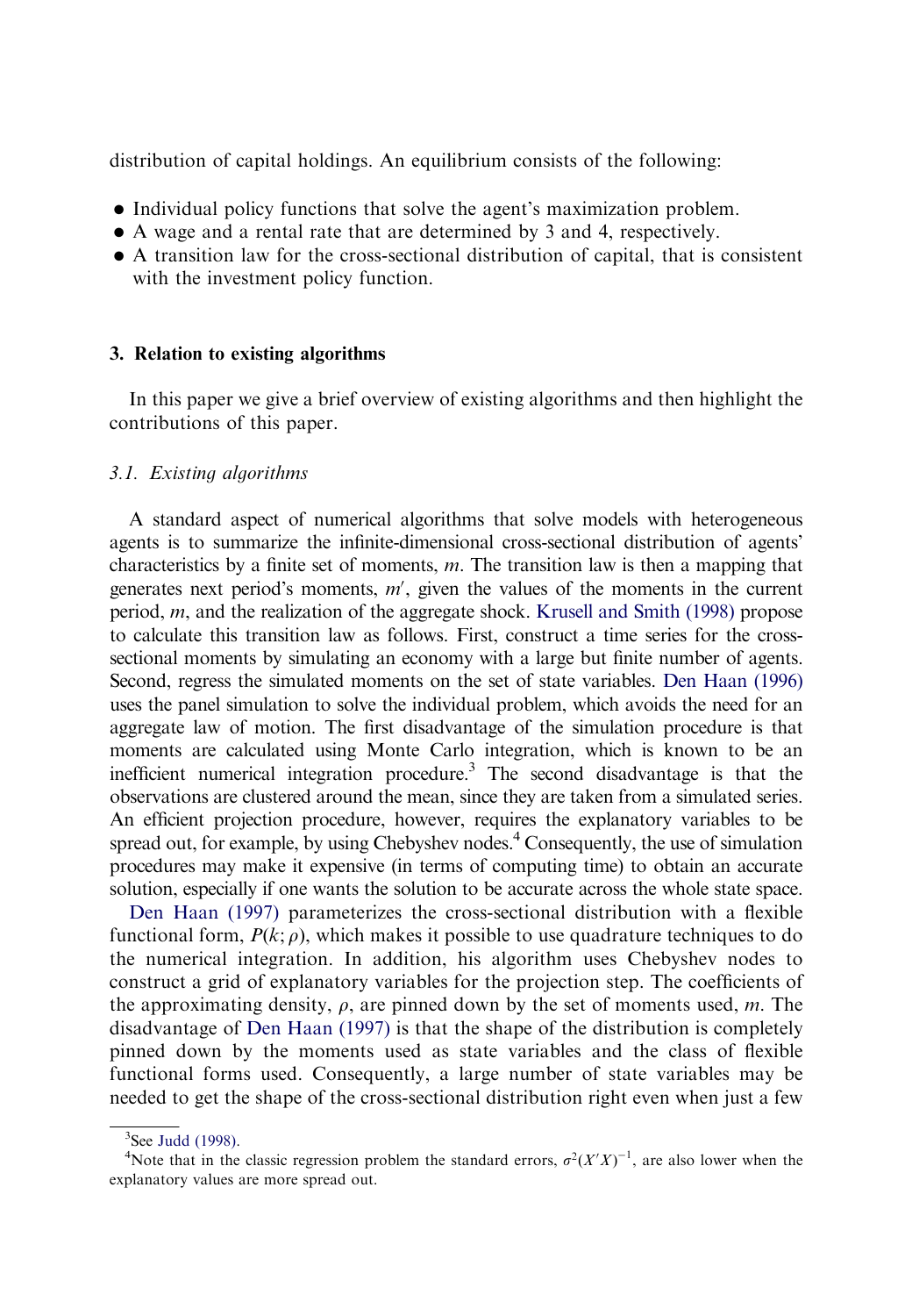distribution of capital holdings. An equilibrium consists of the following:

- Individual policy functions that solve the agent's maximization problem.
- A wage and a rental rate that are determined by 3 and 4, respectively.
- A transition law for the cross-sectional distribution of capital, that is consistent with the investment policy function.

# 3. Relation to existing algorithms

In this paper we give a brief overview of existing algorithms and then highlight the contributions of this paper.

# 3.1. Existing algorithms

A standard aspect of numerical algorithms that solve models with heterogeneous agents is to summarize the infinite-dimensional cross-sectional distribution of agents' characteristics by a finite set of moments,  $m$ . The transition law is then a mapping that generates next period's moments,  $m'$ , given the values of the moments in the current period, m, and the realization of the aggregate shock. [Krusell and Smith \(1998\)](#page-32-0) propose to calculate this transition law as follows. First, construct a time series for the crosssectional moments by simulating an economy with a large but finite number of agents. Second, regress the simulated moments on the set of state variables. [Den Haan \(1996\)](#page-32-0) uses the panel simulation to solve the individual problem, which avoids the need for an aggregate law of motion. The first disadvantage of the simulation procedure is that moments are calculated using Monte Carlo integration, which is known to be an inefficient numerical integration procedure.<sup>3</sup> The second disadvantage is that the observations are clustered around the mean, since they are taken from a simulated series. An efficient projection procedure, however, requires the explanatory variables to be spread out, for example, by using Chebyshev nodes.<sup>4</sup> Consequently, the use of simulation procedures may make it expensive (in terms of computing time) to obtain an accurate solution, especially if one wants the solution to be accurate across the whole state space.

[Den Haan \(1997\)](#page-32-0) parameterizes the cross-sectional distribution with a flexible functional form,  $P(k; \rho)$ , which makes it possible to use quadrature techniques to do the numerical integration. In addition, his algorithm uses Chebyshev nodes to construct a grid of explanatory variables for the projection step. The coefficients of the approximating density,  $\rho$ , are pinned down by the set of moments used, m. The disadvantage of [Den Haan \(1997\)](#page-32-0) is that the shape of the distribution is completely pinned down by the moments used as state variables and the class of flexible functional forms used. Consequently, a large number of state variables may be needed to get the shape of the cross-sectional distribution right even when just a few

 $3$ See [Judd \(1998\)](#page-32-0).

Note that in the classic regression problem the standard errors,  $\sigma^2(X'X)^{-1}$ , are also lower when the explanatory values are more spread out.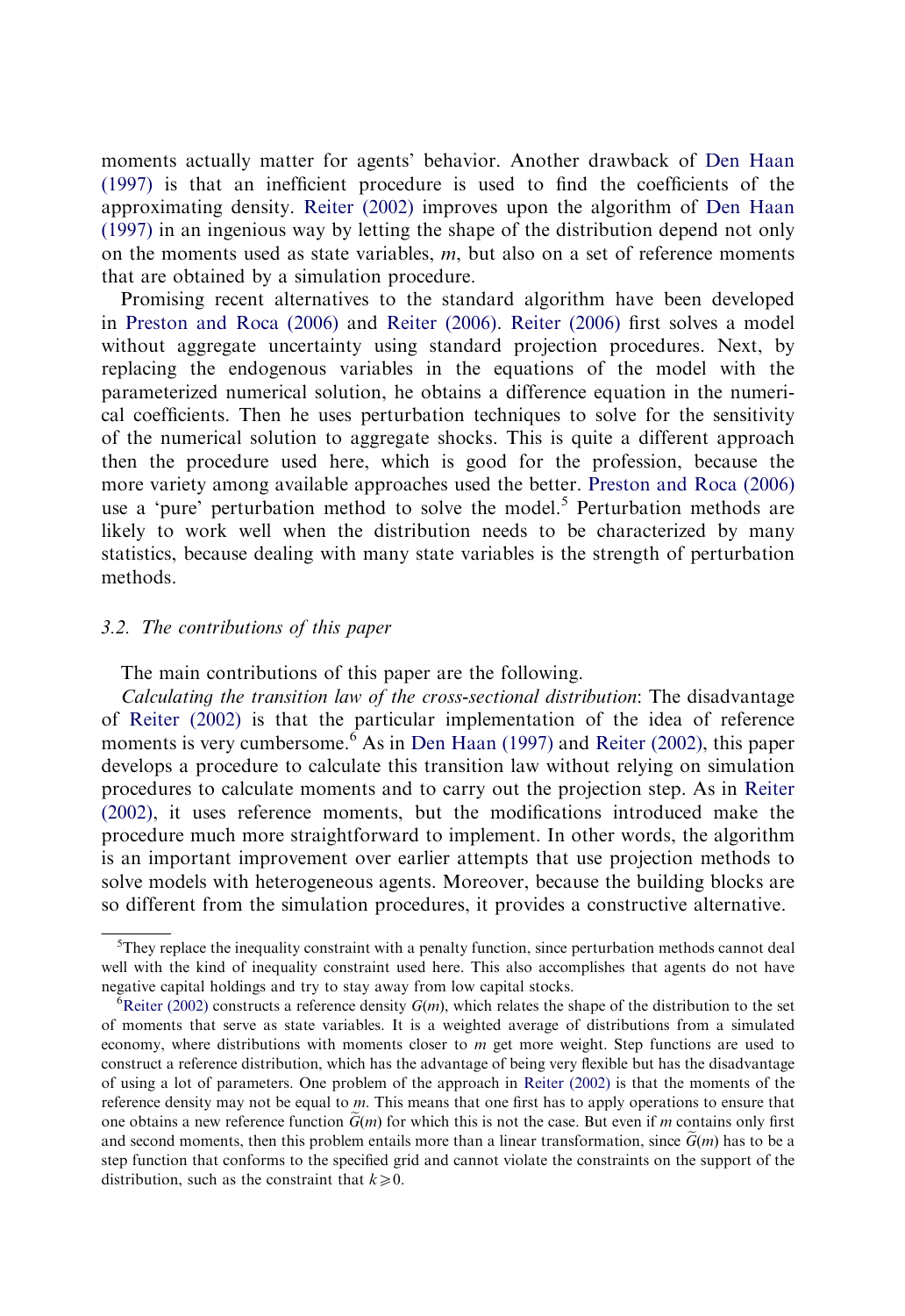moments actually matter for agents' behavior. Another drawback of [Den Haan](#page-32-0) [\(1997\)](#page-32-0) is that an inefficient procedure is used to find the coefficients of the approximating density. [Reiter \(2002\)](#page-32-0) improves upon the algorithm of [Den Haan](#page-32-0) [\(1997\)](#page-32-0) in an ingenious way by letting the shape of the distribution depend not only on the moments used as state variables,  $m$ , but also on a set of reference moments that are obtained by a simulation procedure.

Promising recent alternatives to the standard algorithm have been developed in [Preston and Roca \(2006\)](#page-32-0) and [Reiter \(2006\).](#page-33-0) [Reiter \(2006\)](#page-33-0) first solves a model without aggregate uncertainty using standard projection procedures. Next, by replacing the endogenous variables in the equations of the model with the parameterized numerical solution, he obtains a difference equation in the numerical coefficients. Then he uses perturbation techniques to solve for the sensitivity of the numerical solution to aggregate shocks. This is quite a different approach then the procedure used here, which is good for the profession, because the more variety among available approaches used the better. [Preston and Roca \(2006\)](#page-32-0) use a 'pure' perturbation method to solve the model.<sup>5</sup> Perturbation methods are likely to work well when the distribution needs to be characterized by many statistics, because dealing with many state variables is the strength of perturbation methods.

# 3.2. The contributions of this paper

The main contributions of this paper are the following.

Calculating the transition law of the cross-sectional distribution: The disadvantage of [Reiter \(2002\)](#page-32-0) is that the particular implementation of the idea of reference moments is very cumbersome.<sup>6</sup> As in [Den Haan \(1997\)](#page-32-0) and [Reiter \(2002\)](#page-32-0), this paper develops a procedure to calculate this transition law without relying on simulation procedures to calculate moments and to carry out the projection step. As in [Reiter](#page-32-0) [\(2002\)](#page-32-0), it uses reference moments, but the modifications introduced make the procedure much more straightforward to implement. In other words, the algorithm is an important improvement over earlier attempts that use projection methods to solve models with heterogeneous agents. Moreover, because the building blocks are so different from the simulation procedures, it provides a constructive alternative.

<sup>&</sup>lt;sup>5</sup>They replace the inequality constraint with a penalty function, since perturbation methods cannot deal well with the kind of inequality constraint used here. This also accomplishes that agents do not have negative capital holdings and try to stay away from low capital stocks. <sup>6</sup>

<sup>&</sup>lt;sup>6</sup>[Reiter \(2002\)](#page-32-0) constructs a reference density  $G(m)$ , which relates the shape of the distribution to the set of moments that serve as state variables. It is a weighted average of distributions from a simulated economy, where distributions with moments closer to  $m$  get more weight. Step functions are used to construct a reference distribution, which has the advantage of being very flexible but has the disadvantage of using a lot of parameters. One problem of the approach in [Reiter \(2002\)](#page-32-0) is that the moments of the reference density may not be equal to  $m$ . This means that one first has to apply operations to ensure that one obtains a new reference function  $\tilde{G}(m)$  for which this is not the case. But even if m contains only first and second moments, then this problem entails more than a linear transformation, since  $\tilde{G}(m)$  has to be a step function that conforms to the specified grid and cannot violate the constraints on the support of the distribution, such as the constraint that  $k\geq0$ .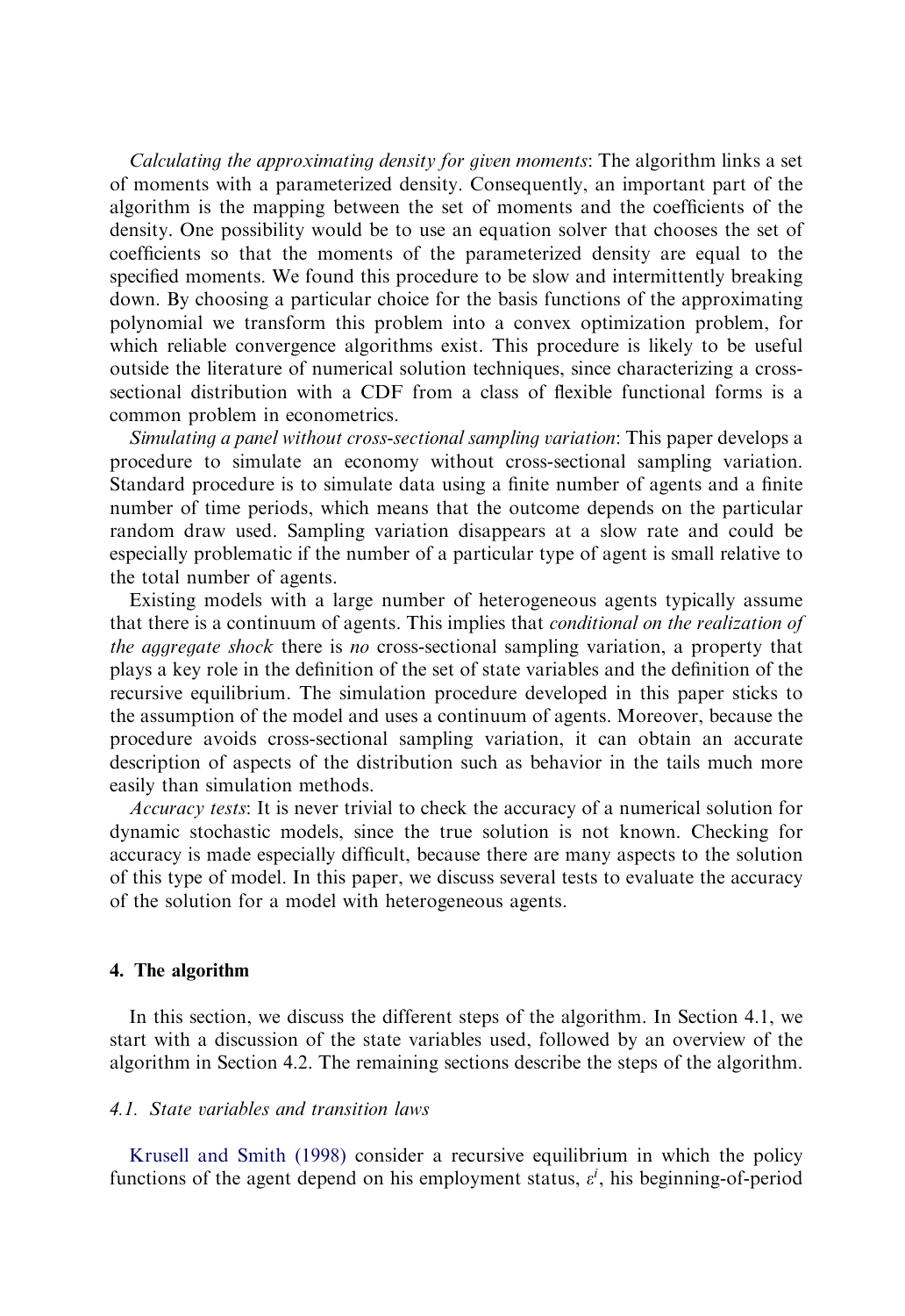Calculating the approximating density for given moments: The algorithm links a set of moments with a parameterized density. Consequently, an important part of the algorithm is the mapping between the set of moments and the coefficients of the density. One possibility would be to use an equation solver that chooses the set of coefficients so that the moments of the parameterized density are equal to the specified moments. We found this procedure to be slow and intermittently breaking down. By choosing a particular choice for the basis functions of the approximating polynomial we transform this problem into a convex optimization problem, for which reliable convergence algorithms exist. This procedure is likely to be useful outside the literature of numerical solution techniques, since characterizing a crosssectional distribution with a CDF from a class of flexible functional forms is a common problem in econometrics.

Simulating a panel without cross-sectional sampling variation: This paper develops a procedure to simulate an economy without cross-sectional sampling variation. Standard procedure is to simulate data using a finite number of agents and a finite number of time periods, which means that the outcome depends on the particular random draw used. Sampling variation disappears at a slow rate and could be especially problematic if the number of a particular type of agent is small relative to the total number of agents.

Existing models with a large number of heterogeneous agents typically assume that there is a continuum of agents. This implies that conditional on the realization of the aggregate shock there is no cross-sectional sampling variation, a property that plays a key role in the definition of the set of state variables and the definition of the recursive equilibrium. The simulation procedure developed in this paper sticks to the assumption of the model and uses a continuum of agents. Moreover, because the procedure avoids cross-sectional sampling variation, it can obtain an accurate description of aspects of the distribution such as behavior in the tails much more easily than simulation methods.

Accuracy tests: It is never trivial to check the accuracy of a numerical solution for dynamic stochastic models, since the true solution is not known. Checking for accuracy is made especially difficult, because there are many aspects to the solution of this type of model. In this paper, we discuss several tests to evaluate the accuracy of the solution for a model with heterogeneous agents.

# 4. The algorithm

In this section, we discuss the different steps of the algorithm. In Section 4.1, we start with a discussion of the state variables used, followed by an overview of the algorithm in Section 4.2. The remaining sections describe the steps of the algorithm.

# 4.1. State variables and transition laws

[Krusell and Smith \(1998\)](#page-32-0) consider a recursive equilibrium in which the policy functions of the agent depend on his employment status,  $\varepsilon^i$ , his beginning-of-period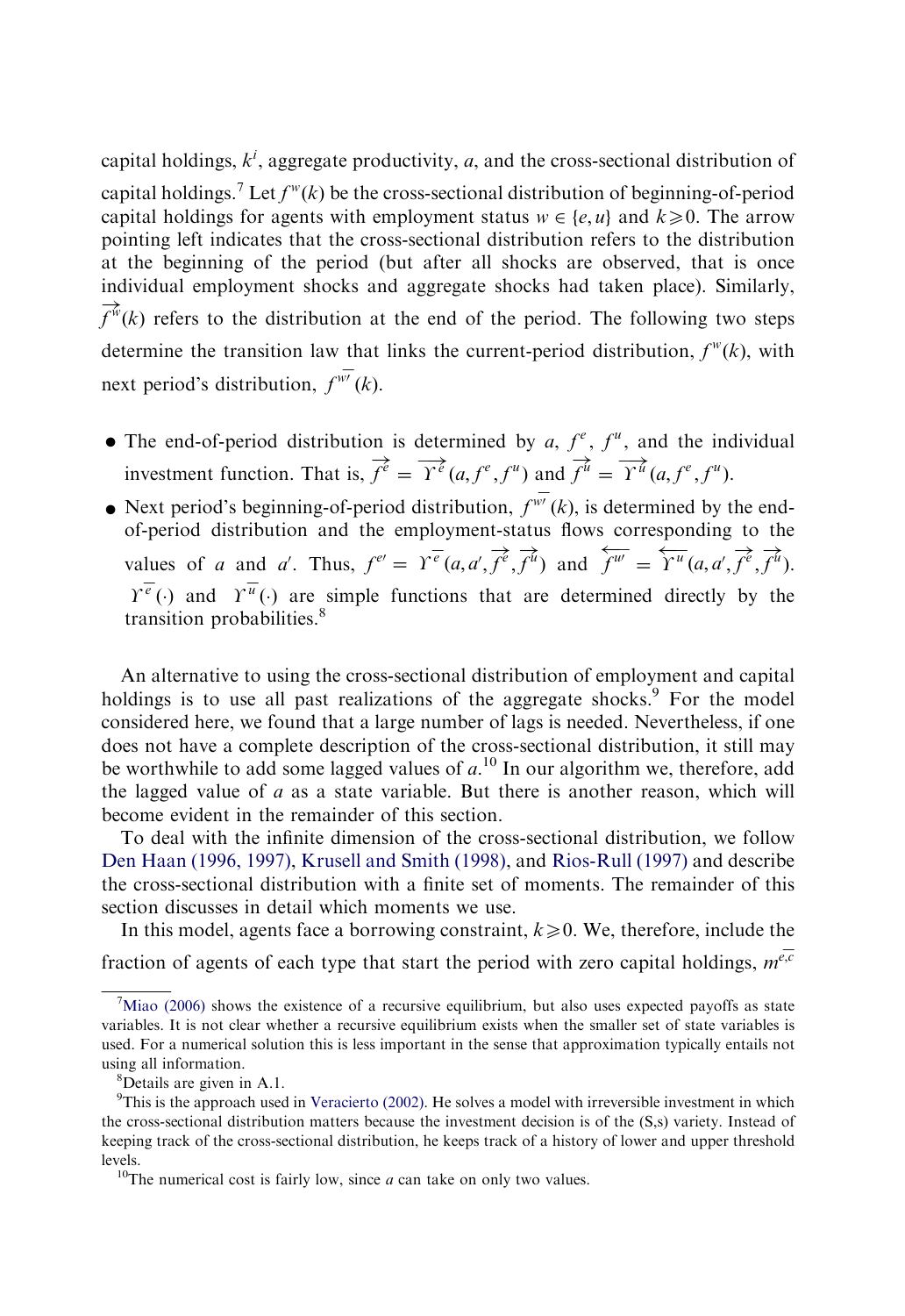capital holdings,  $k^i$ , aggregate productivity, a, and the cross-sectional distribution of capital holdings.<sup>7</sup> Let  $f^w(k)$  be the cross-sectional distribution of beginning-of-period capital holdings for agents with employment status  $w \in \{e, u\}$  and  $k \ge 0$ . The arrow pointing left indicates that the cross-sectional distribution refers to the distribution at the beginning of the period (but after all shocks are observed, that is once individual employment shocks and aggregate shocks had taken place). Similarly,  $\overrightarrow{f}^{\psi}(k)$  refers to the distribution at the end of the period. The following two steps determine the transition law that links the current-period distribution,  $f^{\nu}(k)$ , with next period's distribution,  $f^{\overline{w'}}(k)$ .

- The end-of-period distribution is determined by a,  $f^e$ ,  $f^u$ , and the individual investment function. That is,  $\overrightarrow{f}^e = \overrightarrow{f}^e(a, f^e, f^u)$  and  $\overrightarrow{f}^u = \overrightarrow{f}^u(a, f^e, f^u)$ .
- Next period's beginning-of-period distribution,  $f^{\overline{w'}}(k)$ , is determined by the endof-period distribution and the employment-status flows corresponding to the values of a and a'. Thus,  $f^{e'} = Y^{\overline{e}}(a, a', \overrightarrow{f}^e, \overrightarrow{f}^u)$  and  $\overleftarrow{f^{u'}} = \overleftarrow{Y^u}(a, a', \overrightarrow{f}^e, \overrightarrow{f}^u)$ .  $\overline{Y}^{\overline{e}}(\cdot)$  and  $\overline{Y}^{\overline{u}}(\cdot)$  are simple functions that are determined directly by the transition probabilities.<sup>8</sup>

An alternative to using the cross-sectional distribution of employment and capital holdings is to use all past realizations of the aggregate shocks.<sup>9</sup> For the model considered here, we found that a large number of lags is needed. Nevertheless, if one does not have a complete description of the cross-sectional distribution, it still may be worthwhile to add some lagged values of  $a<sup>10</sup>$  In our algorithm we, therefore, add the lagged value of  $a$  as a state variable. But there is another reason, which will become evident in the remainder of this section.

To deal with the infinite dimension of the cross-sectional distribution, we follow [Den Haan \(1996, 1997\),](#page-32-0) [Krusell and Smith \(1998\),](#page-32-0) and [Rios-Rull \(1997\)](#page-33-0) and describe the cross-sectional distribution with a finite set of moments. The remainder of this section discusses in detail which moments we use.

In this model, agents face a borrowing constraint,  $k\geqslant0$ . We, therefore, include the fraction of agents of each type that start the period with zero capital holdings,  $m^{e,\overline{c}}$ 

 $^{7}$ [Miao \(2006\)](#page-32-0) shows the existence of a recursive equilibrium, but also uses expected payoffs as state variables. It is not clear whether a recursive equilibrium exists when the smaller set of state variables is used. For a numerical solution this is less important in the sense that approximation typically entails not using all information.

Details are given in A.1.

 $^{9}$ This is the approach used in [Veracierto \(2002\)](#page-33-0). He solves a model with irreversible investment in which the cross-sectional distribution matters because the investment decision is of the (S,s) variety. Instead of keeping track of the cross-sectional distribution, he keeps track of a history of lower and upper threshold levels.<br><sup>10</sup>The numerical cost is fairly low, since *a* can take on only two values.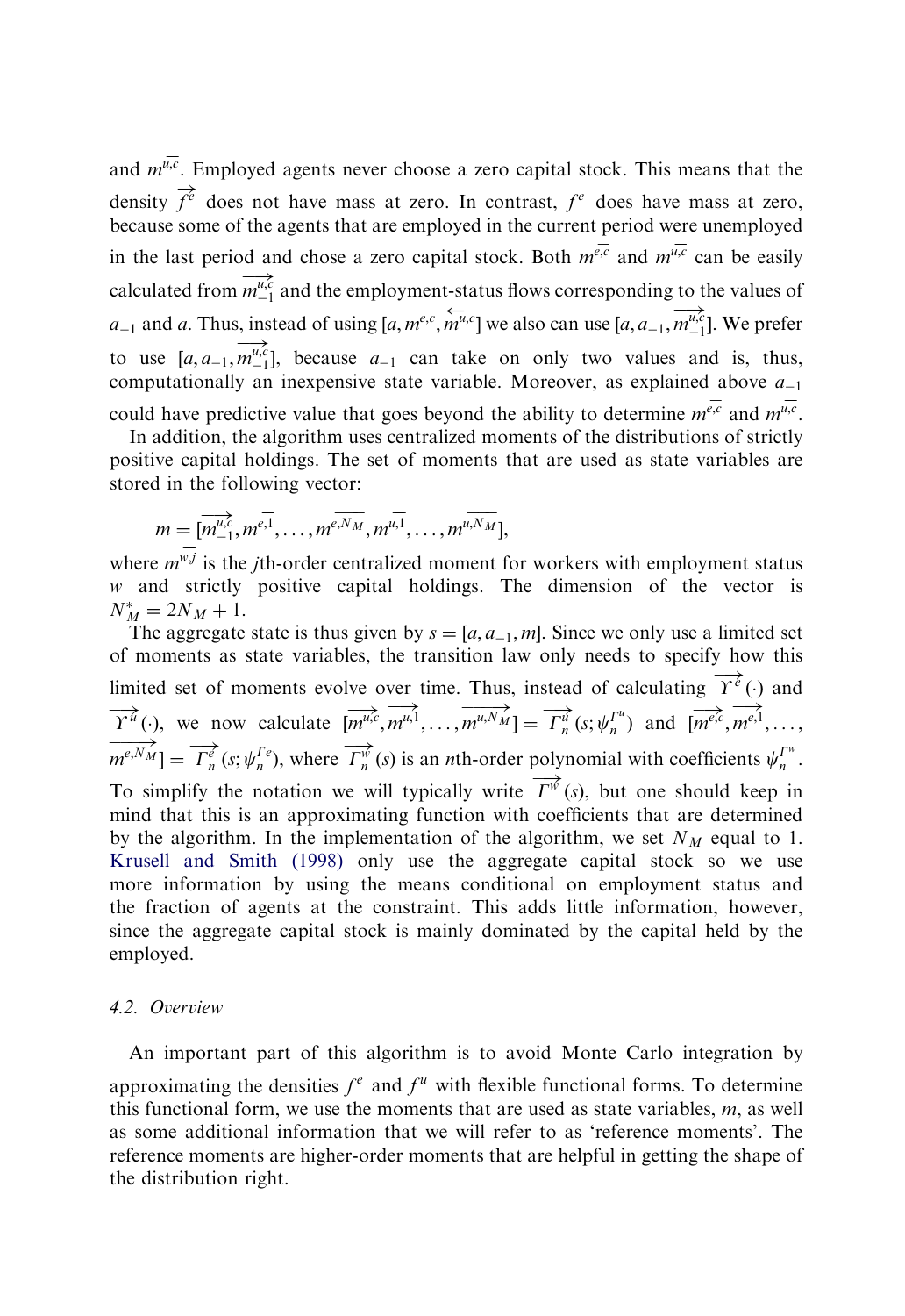and  $m^{\overline{u,c}}$ . Employed agents never choose a zero capital stock. This means that the density  $\overrightarrow{f}^e$  does not have mass at zero. In contrast,  $f^e$  does have mass at zero, because some of the agents that are employed in the current period were unemployed in the last period and chose a zero capital stock. Both  $m^{\overline{e,c}}$  and  $m^{\overline{u,c}}$  can be easily calculated from  $\overline{m_{-1}^{u,c}}$  and the employment-status flows corresponding to the values of  $a_{-1}$  and a. Thus, instead of using  $[a, m^{e,c}, m^{u,c}]$  we also can use  $[a, a_{-1}, m^{u,c}_{-1}]$ . We prefer to use  $[a, a_{-1}, \overrightarrow{m_{-1}^{\mu c}}]$ , because  $a_{-1}$  can take on only two values and is, thus, computationally an inexpensive state variable. Moreover, as explained above  $a_{-1}$ could have predictive value that goes beyond the ability to determine  $m^{\overline{e,c}}$  and  $m^{\overline{u,c}}$ .

In addition, the algorithm uses centralized moments of the distributions of strictly positive capital holdings. The set of moments that are used as state variables are stored in the following vector:

$$
m = \overline{[m_{-1}^{u,c}, m^{e,1}, \ldots, m^{e,N_M}, m^{u,1}, \ldots, m^{u,N_M}]}.
$$

where  $m^{\overrightarrow{w_j}}$  is the *j*th-order centralized moment for workers with employment status  $w$  and strictly positive capital holdings. The dimension of the vector is  $N_M^* = 2N_M + 1.$ 

The aggregate state is thus given by  $s = [a, a_{-1}, m]$ . Since we only use a limited set of moments as state variables, the transition law only needs to specify how this limited set of moments evolve over time. Thus, instead of calculating  $\overrightarrow{I^e}(\cdot)$  and  $\overrightarrow{I}^u(\cdot)$ , we now calculate  $\overrightarrow{[m^{u,c}, m^{u,1}, \dots, m^{u,N_M}]} = \overrightarrow{I}^u_n(s; \psi_i^{I^u})$  and  $\overrightarrow{[m^{e,c}, m^{e,1}, \dots, m^{u,N_M}]}$  $\overrightarrow{m^{e,N_M}}$  =  $\overrightarrow{F_n^e}(s; \psi_n^{Fe})$ , where  $\overrightarrow{F_n^w}(s)$  is an *n*th-order polynomial with coefficients  $\psi_n^{F^w}$ . To simplify the notation we will typically write  $\overrightarrow{\Gamma^{\psi}}(s)$ , but one should keep in mind that this is an approximating function with coefficients that are determined by the algorithm. In the implementation of the algorithm, we set  $N_M$  equal to 1. [Krusell and Smith \(1998\)](#page-32-0) only use the aggregate capital stock so we use more information by using the means conditional on employment status and the fraction of agents at the constraint. This adds little information, however, since the aggregate capital stock is mainly dominated by the capital held by the employed.

#### 4.2. Overview

An important part of this algorithm is to avoid Monte Carlo integration by approximating the densities  $f^e$  and  $f^u$  with flexible functional forms. To determine this functional form, we use the moments that are used as state variables, m, as well as some additional information that we will refer to as 'reference moments'. The reference moments are higher-order moments that are helpful in getting the shape of the distribution right.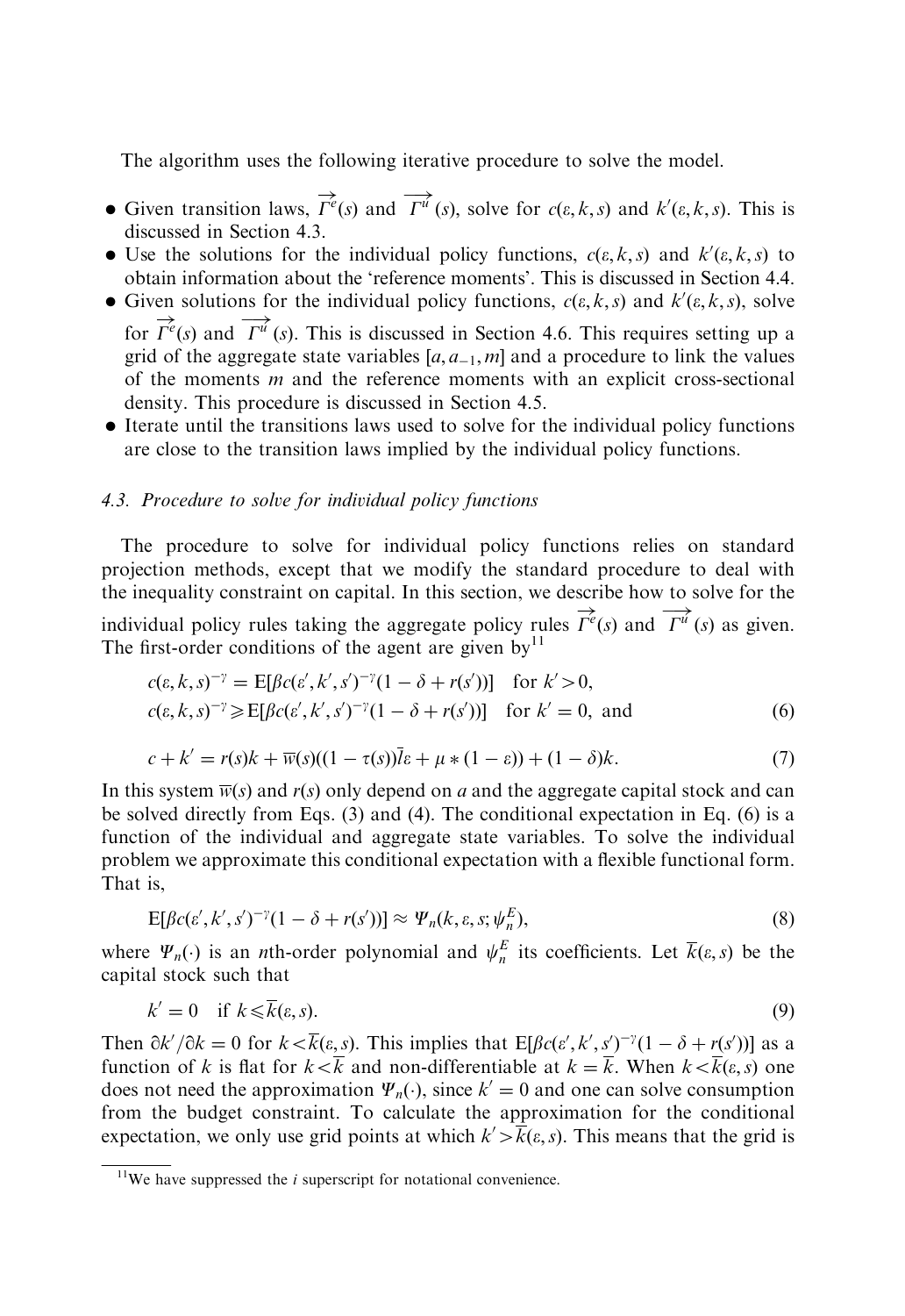The algorithm uses the following iterative procedure to solve the model.

- Given transition laws,  $\overrightarrow{f}^e(s)$  and  $\overrightarrow{f}^u(s)$ , solve for  $c(\varepsilon, k, s)$  and  $k'(\varepsilon, k, s)$ . This is discussed in Section 4.3.
- Use the solutions for the individual policy functions,  $c(\varepsilon, k, s)$  and  $k'(\varepsilon, k, s)$  to obtain information about the 'reference moments'. This is discussed in Section 4.4.
- Given solutions for the individual policy functions,  $c(\varepsilon, k, s)$  and  $k'(\varepsilon, k, s)$ , solve for  $\overrightarrow{I}^e(s)$  and  $\overrightarrow{I^u}(s)$ . This is discussed in Section 4.6. This requires setting up a grid of the aggregate state variables  $[a, a_{-1}, m]$  and a procedure to link the values of the moments  $m$  and the reference moments with an explicit cross-sectional density. This procedure is discussed in Section 4.5.
- Iterate until the transitions laws used to solve for the individual policy functions are close to the transition laws implied by the individual policy functions.

# 4.3. Procedure to solve for individual policy functions

The procedure to solve for individual policy functions relies on standard projection methods, except that we modify the standard procedure to deal with the inequality constraint on capital. In this section, we describe how to solve for the individual policy rules taking the aggregate policy rules  $\overrightarrow{\Gamma}^e(s)$  and  $\overrightarrow{\Gamma}^u(s)$  as given. The first-order conditions of the agent are given by<sup>11</sup>

$$
c(\varepsilon, k, s)^{-\gamma} = \mathbb{E}[\beta c(\varepsilon', k', s')^{-\gamma} (1 - \delta + r(s'))] \text{ for } k' > 0,
$$
  
\n
$$
c(\varepsilon, k, s)^{-\gamma} \ge \mathbb{E}[\beta c(\varepsilon', k', s')^{-\gamma} (1 - \delta + r(s'))] \text{ for } k' = 0, \text{ and}
$$
 (6)

$$
c + k' = r(s)k + \overline{w}(s)((1 - \tau(s))\overline{l}\varepsilon + \mu * (1 - \varepsilon)) + (1 - \delta)k. \tag{7}
$$

In this system  $\overline{w}(s)$  and  $r(s)$  only depend on a and the aggregate capital stock and can be solved directly from Eqs. (3) and (4). The conditional expectation in Eq. (6) is a function of the individual and aggregate state variables. To solve the individual problem we approximate this conditional expectation with a flexible functional form. That is,

$$
E[\beta c(\varepsilon', k', s')^{-\gamma} (1 - \delta + r(s'))] \approx \Psi_n(k, \varepsilon, s; \psi_n^E), \tag{8}
$$

where  $\Psi_n(\cdot)$  is an *n*th-order polynomial and  $\psi_n^E$  its coefficients. Let  $\overline{k}(\varepsilon, s)$  be the capital stock such that

$$
k' = 0 \quad \text{if } k \le \overline{k}(\varepsilon, s). \tag{9}
$$

Then  $\partial k'/\partial k = 0$  for  $k < \overline{k}(\varepsilon, s)$ . This implies that  $E[\beta c(\varepsilon', k', s')^{-\gamma} (1 - \delta + r(s'))]$  as a function of k is flat for  $k < \overline{k}$  and non-differentiable at  $k = \overline{k}$ . When  $k < \overline{k}(\varepsilon, s)$  one does not need the approximation  $\Psi_n(\cdot)$ , since  $k'=0$  and one can solve consumption from the budget constraint. To calculate the approximation for the conditional expectation, we only use grid points at which  $k' > \overline{k}(\varepsilon, s)$ . This means that the grid is

 $11$ We have suppressed the *i* superscript for notational convenience.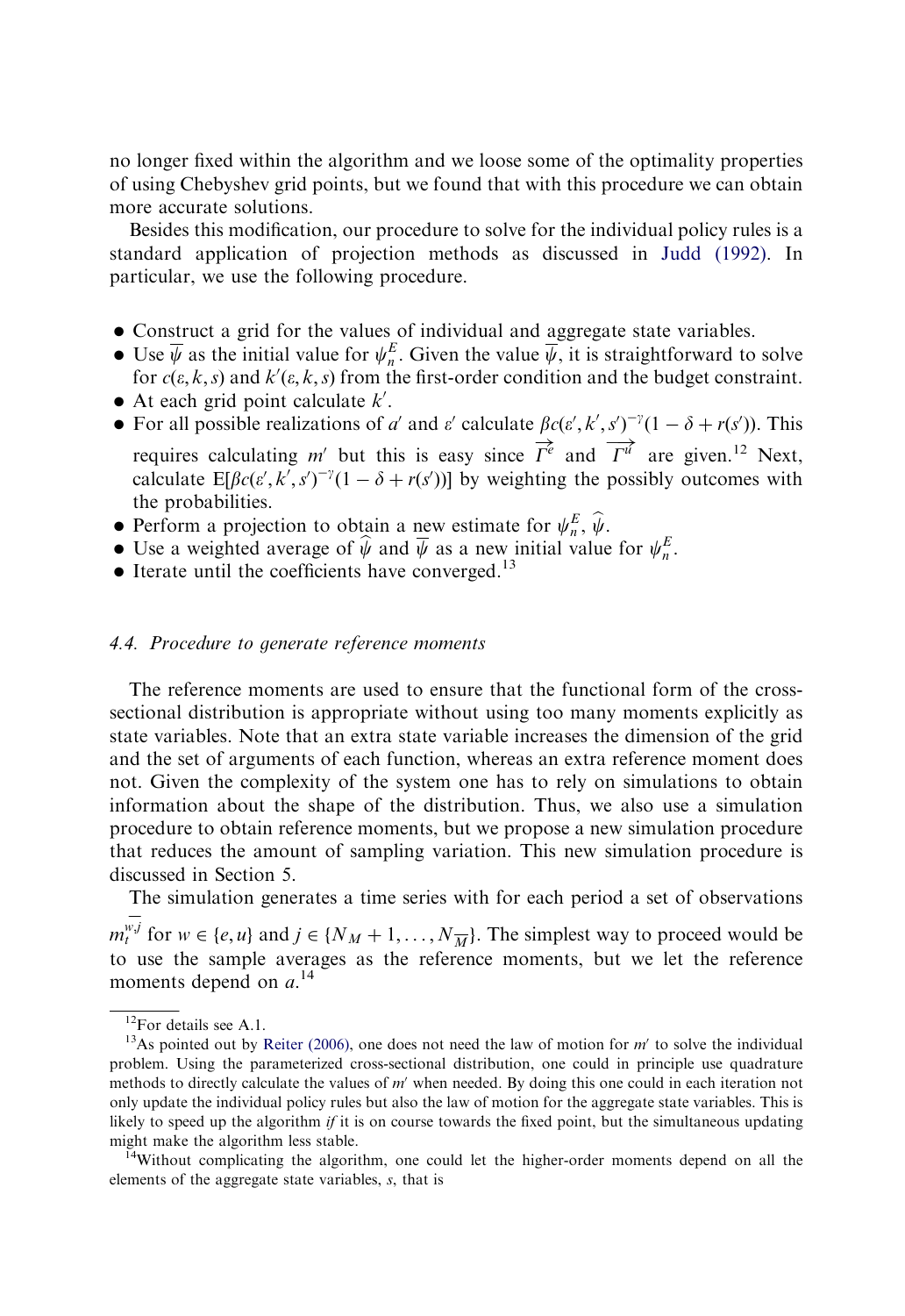no longer fixed within the algorithm and we loose some of the optimality properties of using Chebyshev grid points, but we found that with this procedure we can obtain more accurate solutions.

Besides this modification, our procedure to solve for the individual policy rules is a standard application of projection methods as discussed in [Judd \(1992\)](#page-32-0). In particular, we use the following procedure.

- Construct a grid for the values of individual and aggregate state variables.
- Use  $\overline{\psi}$  as the initial value for  $\psi_n^E$ . Given the value  $\overline{\psi}$ , it is straightforward to solve for  $c(\varepsilon, k, s)$  and  $k'(\varepsilon, k, s)$  from the first-order condition and the budget constraint.
- $\bullet$  At each grid point calculate  $k'$ .
- For all possible realizations of a' and  $\varepsilon'$  calculate  $\beta c(\varepsilon', k', s')^{-\gamma} (1 \delta + r(s'))$ . This requires calculating m' but this is easy since  $\overrightarrow{\Gamma}^e$  and  $\overrightarrow{\Gamma}^u$  are given.<sup>12</sup> Next, calculate  $E[\beta c(\varepsilon', k', s')^{-\gamma} (1 - \delta + r(s'))]$  by weighting the possibly outcomes with the probabilities.
- Perform a projection to obtain a new estimate for  $\psi_n^E$ ,  $\hat{\psi}$ .
- Use a weighted average of  $\hat{\psi}$  and  $\overline{\psi}$  as a new initial value for  $\psi_n^E$ .
- $\bullet$  Iterate until the coefficients have converged.<sup>13</sup>

# 4.4. Procedure to generate reference moments

The reference moments are used to ensure that the functional form of the crosssectional distribution is appropriate without using too many moments explicitly as state variables. Note that an extra state variable increases the dimension of the grid and the set of arguments of each function, whereas an extra reference moment does not. Given the complexity of the system one has to rely on simulations to obtain information about the shape of the distribution. Thus, we also use a simulation procedure to obtain reference moments, but we propose a new simulation procedure that reduces the amount of sampling variation. This new simulation procedure is discussed in Section 5.

The simulation generates a time series with for each period a set of observations  $m_t^{w,j}$  $\overline{f^{ij}}$  for  $w \in \{e, u\}$  and  $j \in \{N_M + 1, \ldots, N_{\overline{M}}\}$ . The simplest way to proceed would be to use the sample averages as the reference moments, but we let the reference moments depend on  $a$ .<sup>14</sup>

<sup>12</sup>For details see A.1.

<sup>&</sup>lt;sup>13</sup>As pointed out by [Reiter \(2006\),](#page-33-0) one does not need the law of motion for m' to solve the individual problem. Using the parameterized cross-sectional distribution, one could in principle use quadrature methods to directly calculate the values of  $m'$  when needed. By doing this one could in each iteration not only update the individual policy rules but also the law of motion for the aggregate state variables. This is likely to speed up the algorithm  $if$  it is on course towards the fixed point, but the simultaneous updating might make the algorithm less stable.<br><sup>14</sup>Without complicating the algorithm, one could let the higher-order moments depend on all the

elements of the aggregate state variables, s, that is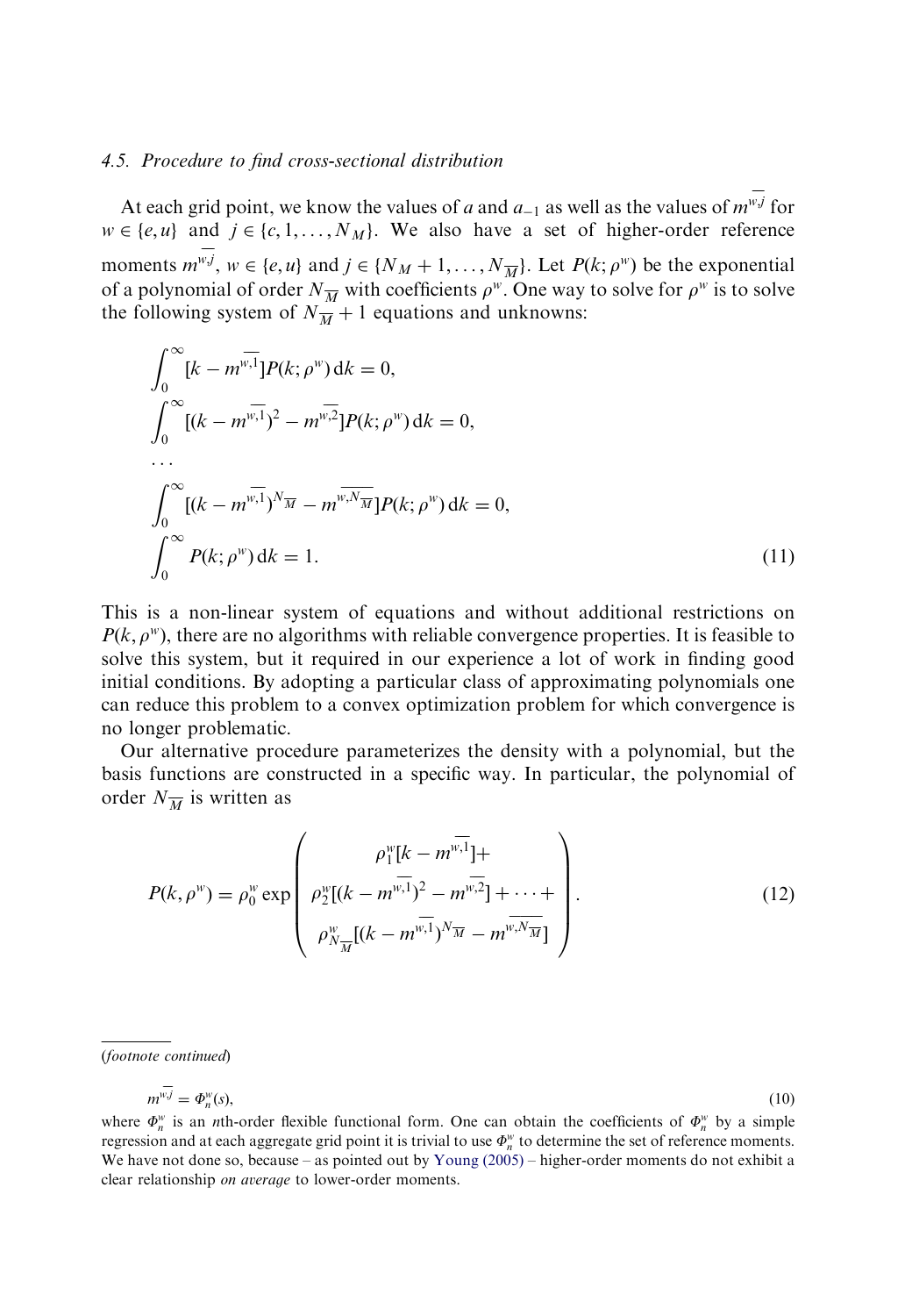# 4.5. Procedure to find cross-sectional distribution

At each grid point, we know the values of a and  $a_{-1}$  as well as the values of  $m^{\overline{w}j}$  for  $w \in \{e, u\}$  and  $j \in \{c, 1, ..., N_M\}$ . We also have a set of higher-order reference moments  $m^{\overline{w_j}}$ ,  $w \in \{e, u\}$  and  $j \in \{N_M + 1, \ldots, N_{\overline{M}}\}$ . Let  $P(k; \rho^w)$  be the exponential of a polynomial of order  $N_{\overline{M}}$  with coefficients  $\rho^w$ . One way to solve for  $\rho^w$  is to solve the following system of  $N_{\overline{M}} + 1$  equations and unknowns:

$$
\int_0^{\infty} [k - m^{\overline{w,1}}] P(k; \rho^w) dk = 0,\n\int_0^{\infty} [(k - m^{\overline{w,1}})^2 - m^{\overline{w,2}}] P(k; \rho^w) dk = 0,\n...\n\int_0^{\infty} [(k - m^{\overline{w,1}})^N \overline{u} - m^{\overline{w,N}}] P(k; \rho^w) dk = 0,\n\int_0^{\infty} P(k; \rho^w) dk = 1.
$$
\n(11)

This is a non-linear system of equations and without additional restrictions on  $P(k, \rho^w)$ , there are no algorithms with reliable convergence properties. It is feasible to solve this system, but it required in our experience a lot of work in finding good initial conditions. By adopting a particular class of approximating polynomials one can reduce this problem to a convex optimization problem for which convergence is no longer problematic.

Our alternative procedure parameterizes the density with a polynomial, but the basis functions are constructed in a specific way. In particular, the polynomial of order  $N_{\overline{M}}$  is written as

$$
P(k, \rho^{w}) = \rho_0^{w} \exp\left(\frac{\rho_1^{w}[k - m^{\overline{w,1}}] + \rho_2^{w}[k - m^{\overline{w,1}}]^2 - m^{\overline{w,2}} + \dots + \rho_{\overline{N}\overline{M}}^{w}[k - m^{\overline{w,1}}]^N \pi - m^{\overline{w,N}\overline{M}}\right).
$$
(12)

(footnote continued)

$$
m^{\overline{w,j}} = \Phi_n^w(s),\tag{10}
$$

where  $\Phi_n^w$  is an *n*th-order flexible functional form. One can obtain the coefficients of  $\Phi_n^w$  by a simple regression and at each aggregate grid point it is trivial to use  $\Phi_n^w$  to determine the set of reference moments. We have not done so, because – as pointed out by [Young \(2005\)](#page-33-0) – higher-order moments do not exhibit a clear relationship on average to lower-order moments.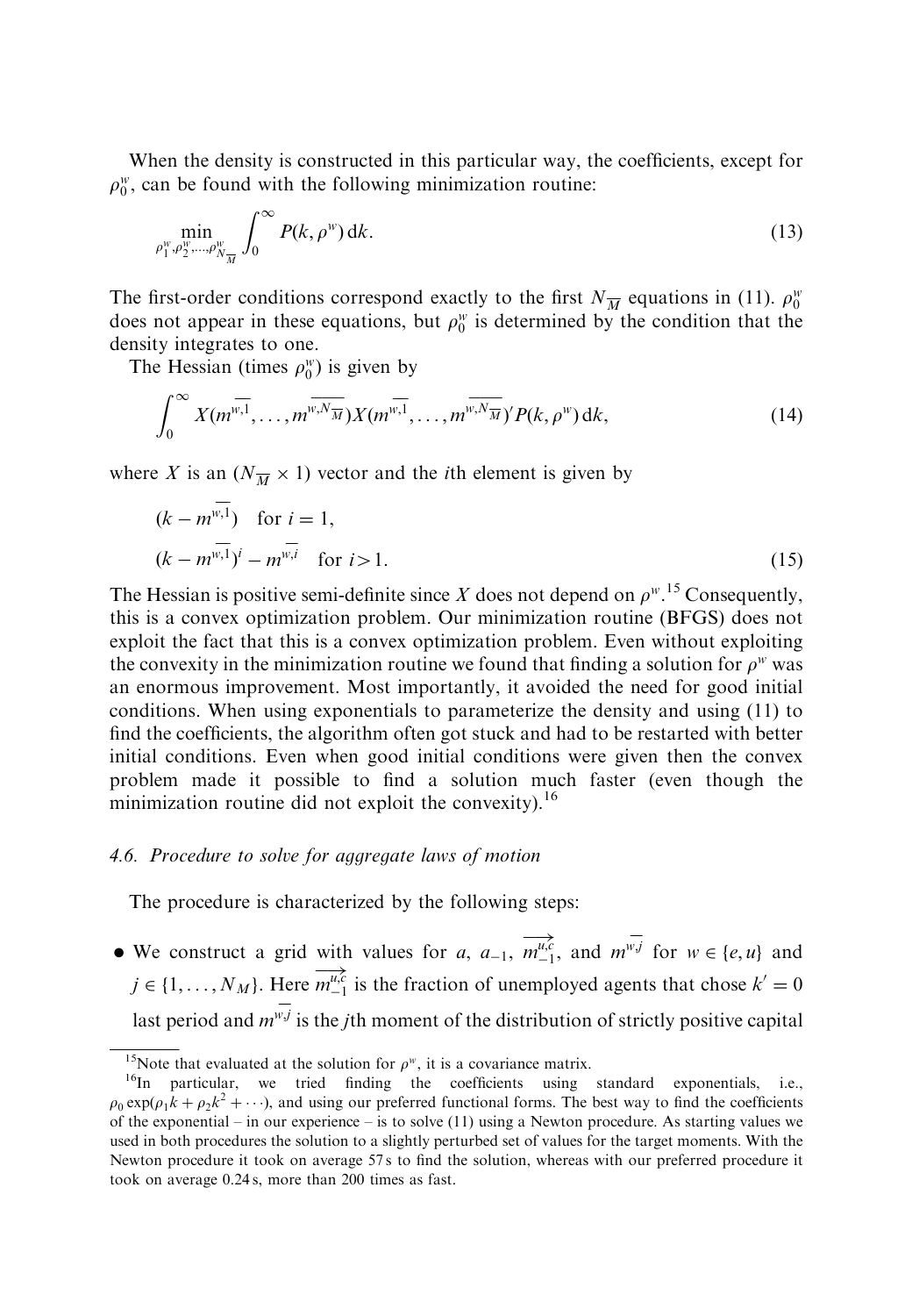When the density is constructed in this particular way, the coefficients, except for  $\rho_0^w$ , can be found with the following minimization routine:

$$
\min_{\rho_1^w, \rho_2^w, \dots, \rho_{N_{\overline{M}}}^w} \int_0^\infty P(k, \rho^w) \, \mathrm{d}k. \tag{13}
$$

The first-order conditions correspond exactly to the first  $N_{\overline{M}}$  equations in (11).  $\rho_0^{\psi}$ does not appear in these equations, but  $\rho_0^w$  is determined by the condition that the density integrates to one.

The Hessian (times  $\rho_0^w$ ) is given by

$$
\int_0^\infty X(m^{\overline{w,1}}, \dots, m^{\overline{w,N_{\overline{M}}}}) X(m^{\overline{w,1}}, \dots, m^{\overline{w,N_{\overline{M}}}})' P(k, \rho^w) dk,
$$
\n(14)

where X is an  $(N_{\overline{M}} \times 1)$  vector and the *i*th element is given by

$$
(k - m^{\overline{w, 1}}) \text{ for } i = 1,
$$
  
\n
$$
(k - m^{\overline{w, 1}})^i - m^{\overline{w, i}} \text{ for } i > 1.
$$
 (15)

The Hessian is positive semi-definite since X does not depend on  $\rho^{w}$ .<sup>15</sup> Consequently, this is a convex optimization problem. Our minimization routine (BFGS) does not exploit the fact that this is a convex optimization problem. Even without exploiting the convexity in the minimization routine we found that finding a solution for  $\rho^w$  was an enormous improvement. Most importantly, it avoided the need for good initial conditions. When using exponentials to parameterize the density and using (11) to find the coefficients, the algorithm often got stuck and had to be restarted with better initial conditions. Even when good initial conditions were given then the convex problem made it possible to find a solution much faster (even though the minimization routine did not exploit the convexity).<sup>16</sup>

# 4.6. Procedure to solve for aggregate laws of motion

The procedure is characterized by the following steps:

• We construct a grid with values for a,  $a_{-1}$ ,  $\overrightarrow{m_{-1}^{\omega,c}}$ , and  $m^{\overrightarrow{w,j}}$  for  $w \in \{e, u\}$  and  $j \in \{1, ..., N_M\}$ . Here  $\overrightarrow{m_{-1}^{\mu,c}}$  is the fraction of unemployed agents that chose  $k' = 0$ last period and  $m^{\overline{w,j}}$  is the *j*th moment of the distribution of strictly positive capital

<sup>&</sup>lt;sup>15</sup>Note that evaluated at the solution for  $\rho^w$ , it is a covariance matrix.<br><sup>16</sup>In particular, we tried finding the coefficients using standard exponentials, i.e.,  $\rho_0 \exp(\rho_1 k + \rho_2 k^2 + \cdots)$ , and using our preferred functional forms. The best way to find the coefficients of the exponential – in our experience – is to solve (11) using a Newton procedure. As starting values we used in both procedures the solution to a slightly perturbed set of values for the target moments. With the Newton procedure it took on average 57 s to find the solution, whereas with our preferred procedure it took on average 0.24 s, more than 200 times as fast.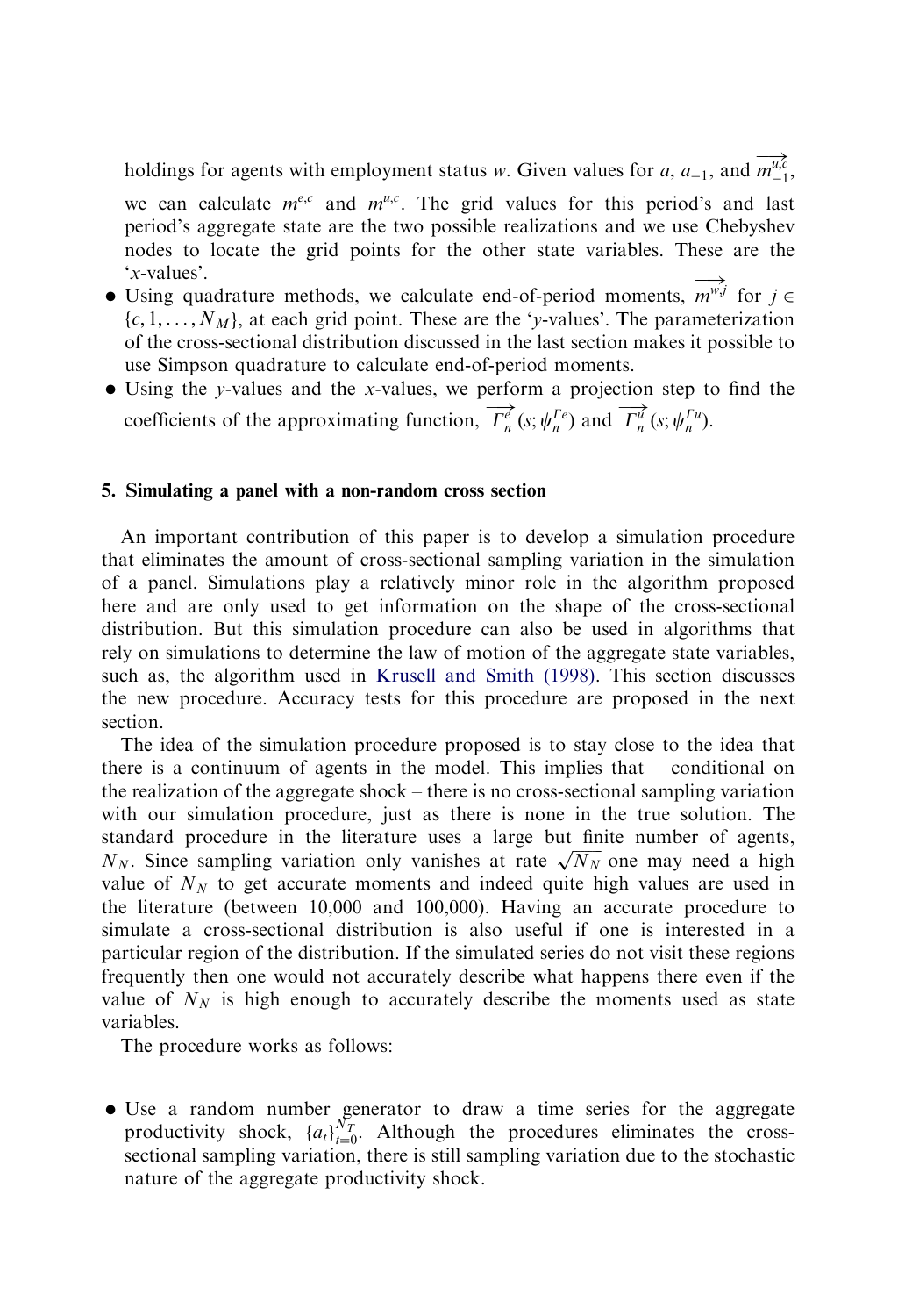holdings for agents with employment status w. Given values for a,  $a_{-1}$ , and  $\overrightarrow{m_{-1}^{\mu,c}}$ , we can calculate  $m^{\overline{e},\overline{c}}$  and  $m^{\overline{u},\overline{c}}$ . The grid values for this period's and last period's aggregate state are the two possible realizations and we use Chebyshev nodes to locate the grid points for the other state variables. These are the 'x-values'.

- Using quadrature methods, we calculate end-of-period moments,  $\overline{m^{w,j}}$  for  $j \in$  $\{c, 1, \ldots, N_M\}$ , at each grid point. These are the 'y-values'. The parameterization of the cross-sectional distribution discussed in the last section makes it possible to use Simpson quadrature to calculate end-of-period moments.
- Using the y-values and the x-values, we perform a projection step to find the coefficients of the approximating function,  $\overrightarrow{F_n^e}(s; \psi_n^{Fe})$  and  $\overrightarrow{F_n^u}(s; \psi_n^{Fe})$ .

#### 5. Simulating a panel with a non-random cross section

An important contribution of this paper is to develop a simulation procedure that eliminates the amount of cross-sectional sampling variation in the simulation of a panel. Simulations play a relatively minor role in the algorithm proposed here and are only used to get information on the shape of the cross-sectional distribution. But this simulation procedure can also be used in algorithms that rely on simulations to determine the law of motion of the aggregate state variables, such as, the algorithm used in [Krusell and Smith \(1998\).](#page-32-0) This section discusses the new procedure. Accuracy tests for this procedure are proposed in the next section.

The idea of the simulation procedure proposed is to stay close to the idea that there is a continuum of agents in the model. This implies that – conditional on the realization of the aggregate shock – there is no cross-sectional sampling variation with our simulation procedure, just as there is none in the true solution. The standard procedure in the literature uses a large but finite number of agents, Standard procedure in the increature uses a large but limite number of agents,<br> $N_N$ . Since sampling variation only vanishes at rate  $\sqrt{N_N}$  one may need a high value of  $N<sub>N</sub>$  to get accurate moments and indeed quite high values are used in the literature (between 10,000 and 100,000). Having an accurate procedure to simulate a cross-sectional distribution is also useful if one is interested in a particular region of the distribution. If the simulated series do not visit these regions frequently then one would not accurately describe what happens there even if the value of  $N<sub>N</sub>$  is high enough to accurately describe the moments used as state variables.

The procedure works as follows:

 Use a random number generator to draw a time series for the aggregate productivity shock,  $\{a_t\}_{t=0}^{N_T}$ . Although the procedures eliminates the crosssectional sampling variation, there is still sampling variation due to the stochastic nature of the aggregate productivity shock.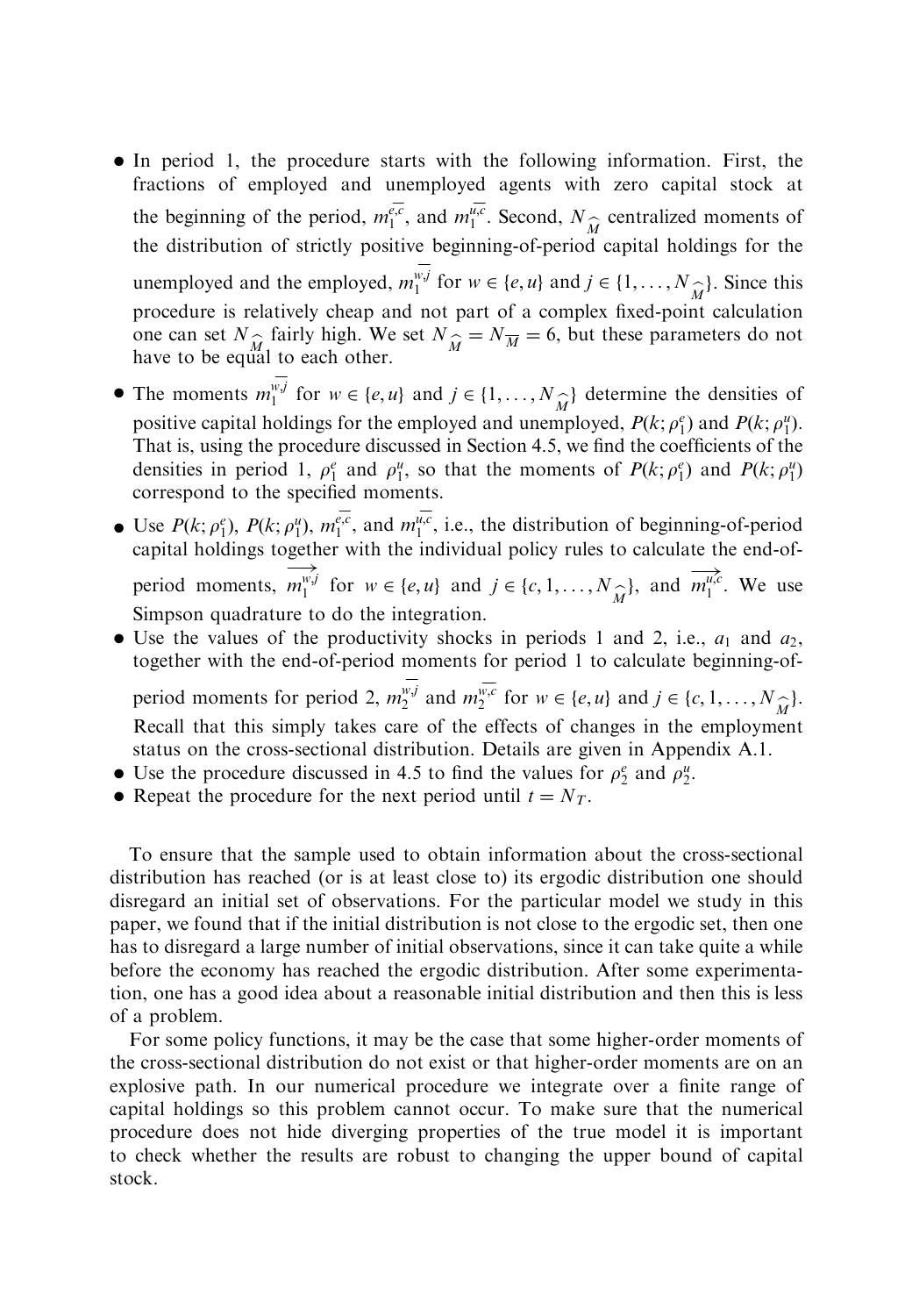- In period 1, the procedure starts with the following information. First, the fractions of employed and unemployed agents with zero capital stock at the beginning of the period,  $m_1^{\overline{e,c}}$ , and  $m_1^{\overline{u,c}}$ . Second,  $N_{\widehat{M}}$  centralized moments of the distribution of strictly positive beginning-of-period capital holdings for the unemployed and the employed,  $m_1^{\overline{w},j}$  for  $w \in \{e, u\}$  and  $j \in \{1, ..., N_{\widehat{M}}\}$ . Since this procedure is relatively cheap and not part of a complex fixed-point calculation one can set  $N_{\widehat{M}}$  fairly high. We set  $N_{\widehat{M}} = N_{\overline{M}} = 6$ , but these parameters do not have to be equal to each other.
- The moments  $m_1^{\overline{w},j}$  for  $w \in \{e, u\}$  and  $j \in \{1, ..., N_{\widehat{M}}\}$  determine the densities of positive capital holdings for the employed and unemployed,  $P(k; \rho_1^e)$  and  $P(k; \rho_1^u)$ . That is, using the procedure discussed in Section 4.5, we find the coefficients of the densities in period 1,  $\rho_1^e$  and  $\rho_1^u$ , so that the moments of  $P(k; \rho_1^e)$  and  $P(k; \rho_1^u)$ correspond to the specified moments.
- Use  $P(k; \rho_1^e)$ ,  $P(k; \rho_1^u)$ ,  $m_1^{\rho, \overline{c}}$ , and  $m_1^{\overline{u}, \overline{c}}$ , i.e., the distribution of beginning-of-period capital holdings together with the individual policy rules to calculate the end-ofperiod moments,  $\overrightarrow{m_1^{w,j}}$  for  $w \in \{e, u\}$  and  $j \in \{c, 1, ..., N_{\widehat{M}}\}$ , and  $\overrightarrow{m_1^{u,c}}$ . We use Simpson quadrature to do the integration.
- Use the values of the productivity shocks in periods 1 and 2, i.e.,  $a_1$  and  $a_2$ , together with the end-of-period moments for period 1 to calculate beginning-ofperiod moments for period 2,  $m_2^{\overline{w}, \overline{t}}$  and  $m_2^{\overline{w}, \overline{c}}$  for  $w \in \{e, u\}$  and  $j \in \{c, 1, ..., N_{\widehat{M}}\}$ . Recall that this simply takes care of the effects of changes in the employment status on the cross-sectional distribution. Details are given in Appendix A.1.
- Use the procedure discussed in 4.5 to find the values for  $\rho_2^e$  and  $\rho_2^u$ .
- Repeat the procedure for the next period until  $t = N_T$ .

To ensure that the sample used to obtain information about the cross-sectional distribution has reached (or is at least close to) its ergodic distribution one should disregard an initial set of observations. For the particular model we study in this paper, we found that if the initial distribution is not close to the ergodic set, then one has to disregard a large number of initial observations, since it can take quite a while before the economy has reached the ergodic distribution. After some experimentation, one has a good idea about a reasonable initial distribution and then this is less of a problem.

For some policy functions, it may be the case that some higher-order moments of the cross-sectional distribution do not exist or that higher-order moments are on an explosive path. In our numerical procedure we integrate over a finite range of capital holdings so this problem cannot occur. To make sure that the numerical procedure does not hide diverging properties of the true model it is important to check whether the results are robust to changing the upper bound of capital stock.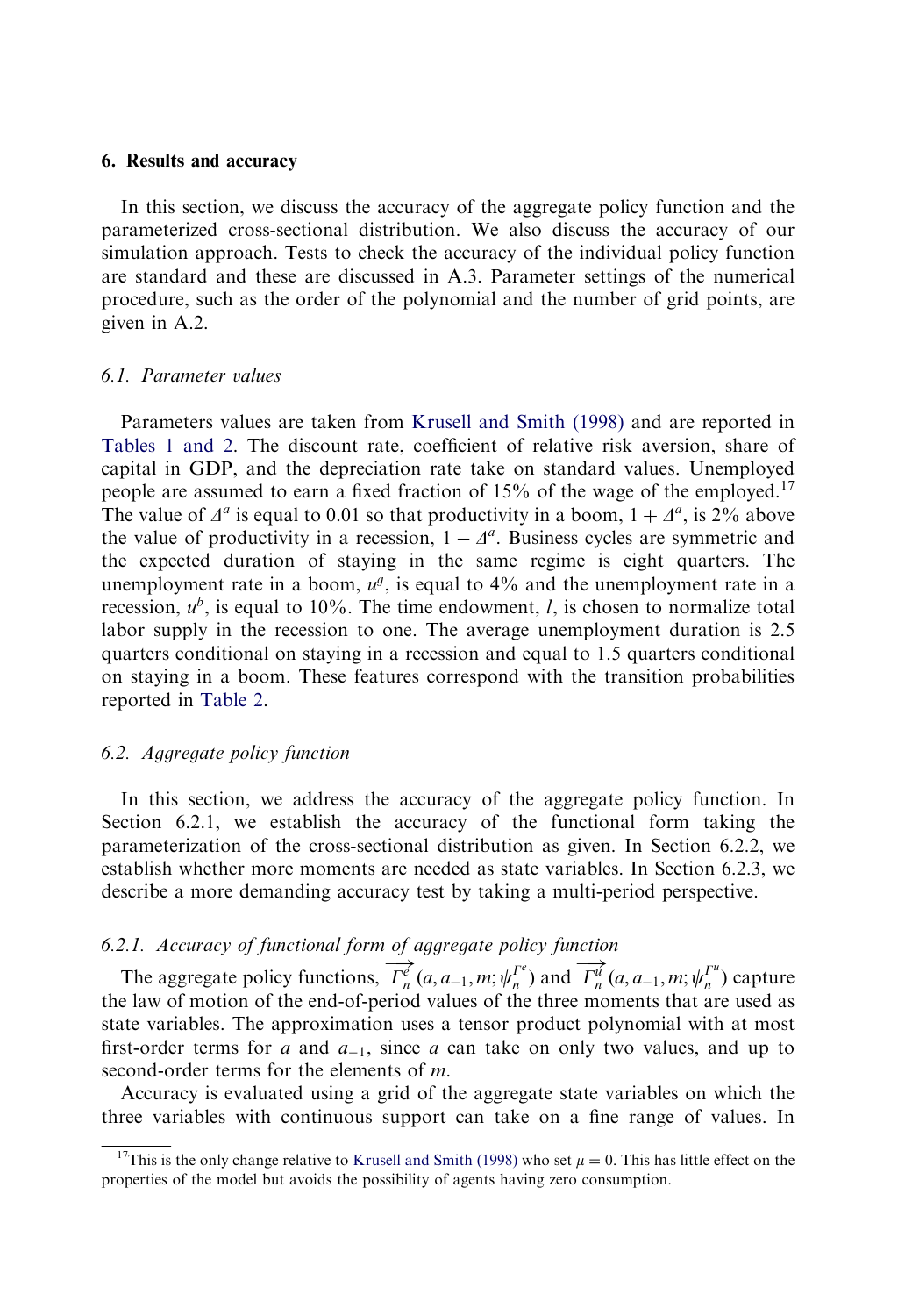# 6. Results and accuracy

In this section, we discuss the accuracy of the aggregate policy function and the parameterized cross-sectional distribution. We also discuss the accuracy of our simulation approach. Tests to check the accuracy of the individual policy function are standard and these are discussed in A.3. Parameter settings of the numerical procedure, such as the order of the polynomial and the number of grid points, are given in A.2.

#### 6.1. Parameter values

Parameters values are taken from [Krusell and Smith \(1998\)](#page-32-0) and are reported in [Tables 1 and 2](#page-16-0). The discount rate, coefficient of relative risk aversion, share of capital in GDP, and the depreciation rate take on standard values. Unemployed people are assumed to earn a fixed fraction of  $15%$  of the wage of the employed.<sup>17</sup> The value of  $\Delta^a$  is equal to 0.01 so that productivity in a boom,  $1 + \Delta^a$ , is 2% above the value of productivity in a recession,  $1 - \Delta^a$ . Business cycles are symmetric and the expected duration of staying in the same regime is eight quarters. The unemployment rate in a boom,  $u^g$ , is equal to 4% and the unemployment rate in a recession,  $u^b$ , is equal to 10%. The time endowment,  $\overline{l}$ , is chosen to normalize total labor supply in the recession to one. The average unemployment duration is 2.5 quarters conditional on staying in a recession and equal to 1.5 quarters conditional on staying in a boom. These features correspond with the transition probabilities reported in [Table 2](#page-16-0).

#### 6.2. Aggregate policy function

In this section, we address the accuracy of the aggregate policy function. In Section 6.2.1, we establish the accuracy of the functional form taking the parameterization of the cross-sectional distribution as given. In Section 6.2.2, we establish whether more moments are needed as state variables. In Section 6.2.3, we describe a more demanding accuracy test by taking a multi-period perspective.

# 6.2.1. Accuracy of functional form of aggregate policy function

The aggregate policy functions,  $\overrightarrow{F_n^e}(a, a_{-1}, m; \psi_n^F)$  and  $\overrightarrow{F_n^u}(a, a_{-1}, m; \psi_n^F)$  capture the law of motion of the end-of-period values of the three moments that are used as state variables. The approximation uses a tensor product polynomial with at most first-order terms for a and  $a_{-1}$ , since a can take on only two values, and up to second-order terms for the elements of m.

Accuracy is evaluated using a grid of the aggregate state variables on which the three variables with continuous support can take on a fine range of values. In

<sup>&</sup>lt;sup>17</sup>This is the only change relative to [Krusell and Smith \(1998\)](#page-32-0) who set  $\mu = 0$ . This has little effect on the properties of the model but avoids the possibility of agents having zero consumption.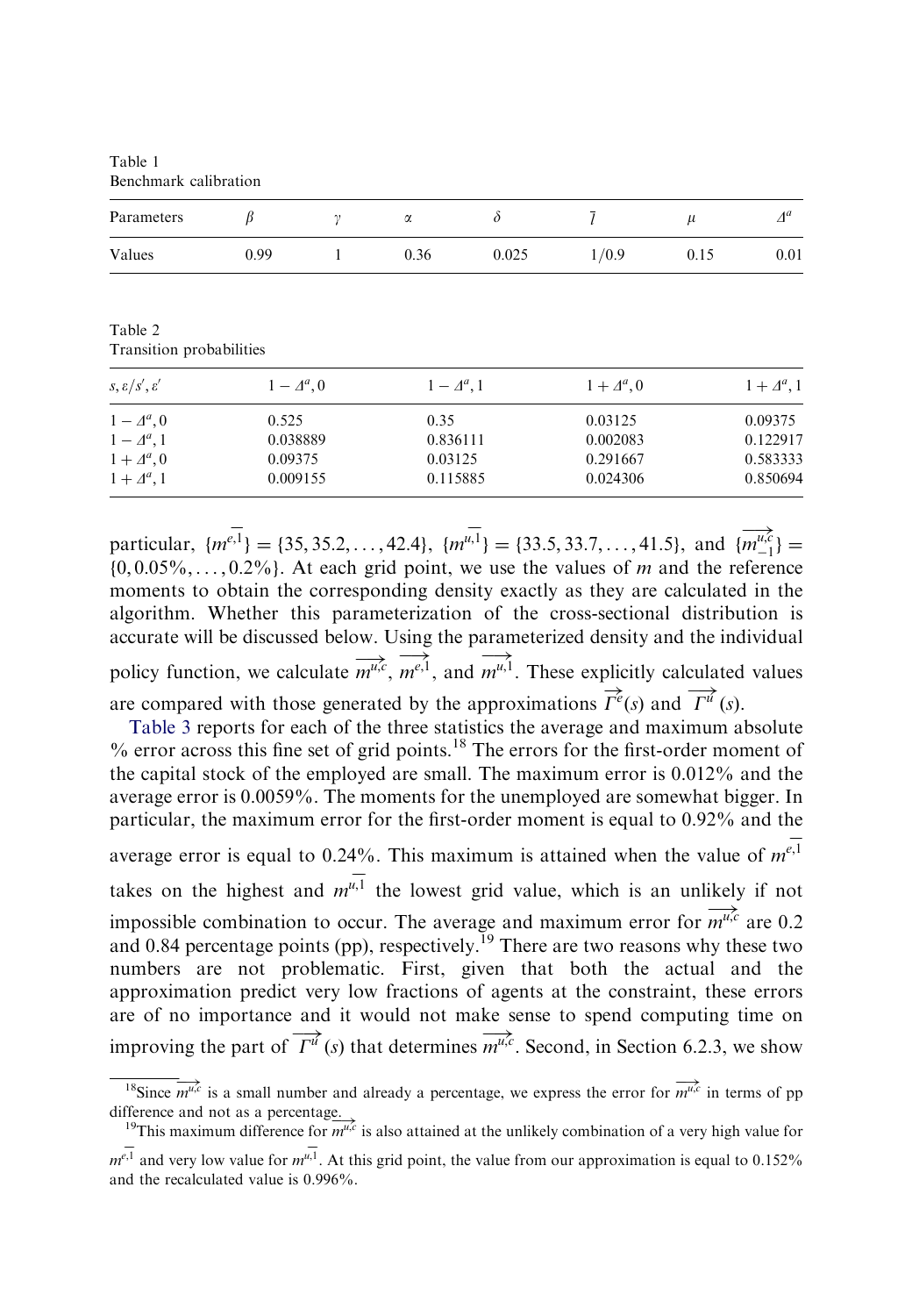Table 2 Transition probabilities Benchmark calibration Parameters  $\beta$   $\gamma$   $\alpha$   $\delta$   $\bar{l}$   $\mu$   $\Delta^a$ Values 0.99 1 0.36 0.025  $1/0.9$  0.15 0.01

<span id="page-16-0"></span>Table 1

| $s, \varepsilon / s', \varepsilon'$ | $1 - A^a, 0$ | $1 - \Delta^a$ , 1 | $1 + \Delta^a, 0$ | $1 + \Delta^a, 1$ |
|-------------------------------------|--------------|--------------------|-------------------|-------------------|
| $1 - \Delta^a, 0$                   | 0.525        | 0.35               | 0.03125           | 0.09375           |
| $1 - \Delta^a, 1$                   | 0.038889     | 0.836111           | 0.002083          | 0.122917          |
| $1 + \Delta^a, 0$                   | 0.09375      | 0.03125            | 0.291667          | 0.583333          |
| $1 + \Delta^a, 1$                   | 0.009155     | 0.115885           | 0.024306          | 0.850694          |

particular,  $\{m^{e,\overline{1}}\} = \{35, 35.2, ..., 42.4\}, \{m^{u,\overline{1}}\} = \{33.5, 33.7, ..., 41.5\}, \text{ and } \{\overline{m}_{-1}^{u,\overline{c}}\} =$  $\{0, 0.05\%, \ldots, 0.2\% \}$ . At each grid point, we use the values of m and the reference moments to obtain the corresponding density exactly as they are calculated in the algorithm. Whether this parameterization of the cross-sectional distribution is accurate will be discussed below. Using the parameterized density and the individual policy function, we calculate  $\overrightarrow{m^{u,c}}$ ,  $\overrightarrow{m^{e,1}}$ , and  $\overrightarrow{m^{u,1}}$ . These explicitly calculated values are compared with those generated by the approximations  $\overrightarrow{\Gamma}^e(s)$  and  $\overrightarrow{\Gamma^u}(s)$ .

[Table 3](#page-17-0) reports for each of the three statistics the average and maximum absolute  $%$  error across this fine set of grid points.<sup>18</sup> The errors for the first-order moment of the capital stock of the employed are small. The maximum error is 0.012% and the average error is 0.0059%. The moments for the unemployed are somewhat bigger. In particular, the maximum error for the first-order moment is equal to 0.92% and the average error is equal to 0.24%. This maximum is attained when the value of  $m^{e,1}$ takes on the highest and  $m^{\overline{n,1}}$  the lowest grid value, which is an unlikely if not impossible combination to occur. The average and maximum error for  $\overrightarrow{m^{u,c}}$  are 0.2 and 0.84 percentage points (pp), respectively.<sup>19</sup> There are two reasons why these two numbers are not problematic. First, given that both the actual and the approximation predict very low fractions of agents at the constraint, these errors are of no importance and it would not make sense to spend computing time on

improving the part of  $\overrightarrow{I^{u}}(s)$  that determines  $\overrightarrow{m^{u,c}}$ . Second, in Section 6.2.3, we show

<sup>&</sup>lt;sup>18</sup>Since  $\overline{m^{\mu,\epsilon}}$  is a small number and already a percentage, we express the error for  $\overline{m^{\mu,\epsilon}}$  in terms of pp difference and not as a percentage.<br><sup>19</sup>This maximum difference for  $m^{u,c}$  is also attained at the unlikely combination of a very high value for

 $m^{e,\overline{1}}$  and very low value for  $m^{u,\overline{1}}$ . At this grid point, the value from our approximation is equal to 0.152% and the recalculated value is 0.996%.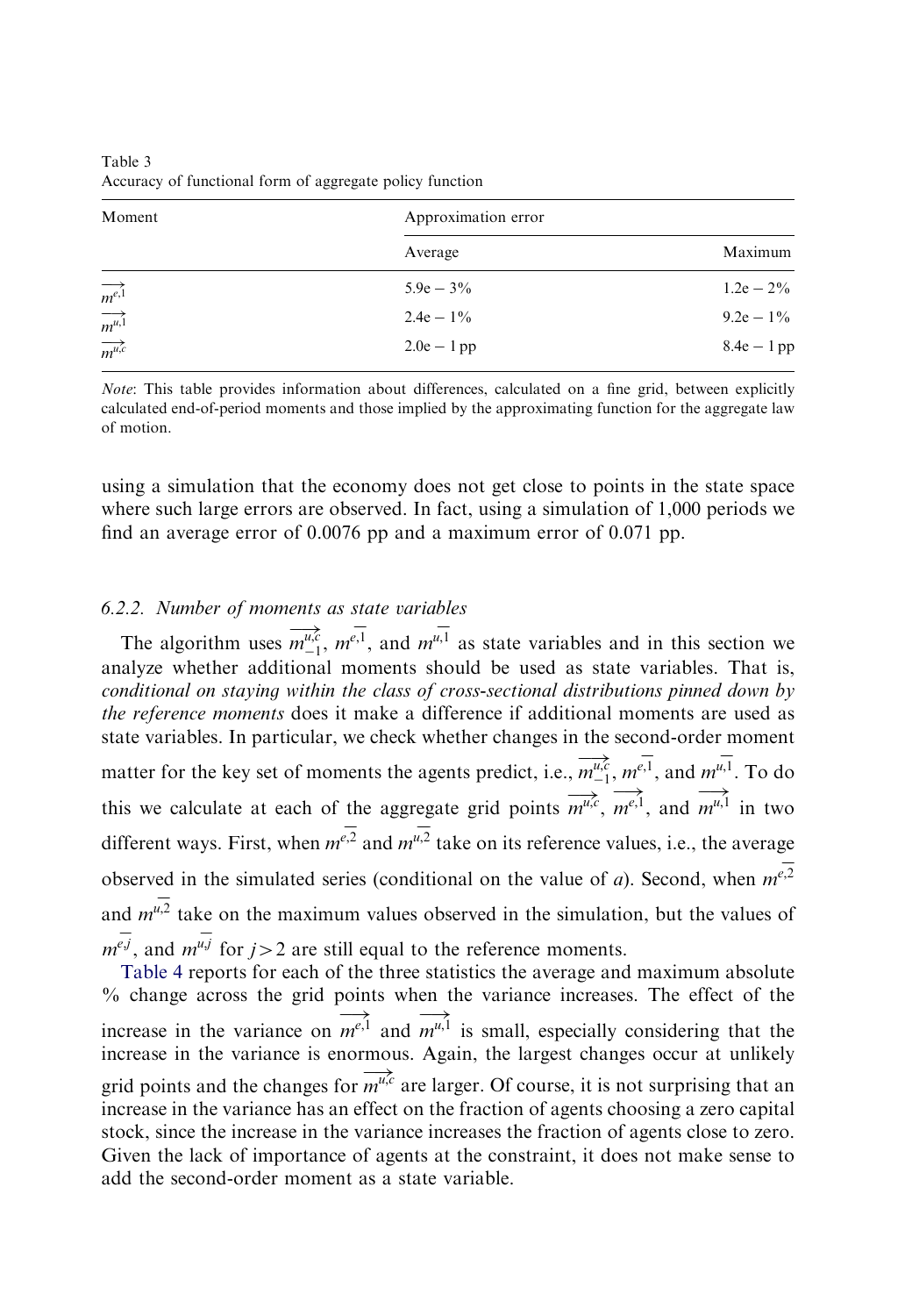| Moment                     | Approximation error |               |
|----------------------------|---------------------|---------------|
|                            | Average             | Maximum       |
| $\overrightarrow{m^{e,1}}$ | $5.9e - 3\%$        | $1.2e - 2\%$  |
| $\overrightarrow{m^{u,1}}$ | $2.4e - 1\%$        | $9.2e - 1\%$  |
| $\overrightarrow{m^{u,c}}$ | $2.0e - 1$ pp       | $8.4e - 1$ pp |

<span id="page-17-0"></span>Table 3 Accuracy of functional form of aggregate policy function

Note: This table provides information about differences, calculated on a fine grid, between explicitly calculated end-of-period moments and those implied by the approximating function for the aggregate law of motion.

using a simulation that the economy does not get close to points in the state space where such large errors are observed. In fact, using a simulation of 1,000 periods we find an average error of 0.0076 pp and a maximum error of 0.071 pp.

# 6.2.2. Number of moments as state variables

The algorithm uses  $\overrightarrow{m_{-1}^{\mu,c}}$ ,  $m_{\overline{-1}}^{\overrightarrow{m_{-1}}}$ , and  $m_{\overline{-1}}^{\overrightarrow{m_{-1}}}$  as state variables and in this section we analyze whether additional moments should be used as state variables. That is, conditional on staying within the class of cross-sectional distributions pinned down by the reference moments does it make a difference if additional moments are used as state variables. In particular, we check whether changes in the second-order moment matter for the key set of moments the agents predict, i.e.,  $\overrightarrow{m_{-1}^{\mu,c}}$ ,  $\overrightarrow{m_{-1}^{\mu,c}}$ , and  $\overrightarrow{m_{-1}}$ . To do this we calculate at each of the aggregate grid points  $\overrightarrow{m^{u,c}}$ ,  $\overrightarrow{m^{e,1}}$ , and  $\overrightarrow{m^{u,1}}$  in two different ways. First, when  $m^{e,\overline{2}}$  and  $m^{u,\overline{2}}$  take on its reference values, i.e., the average observed in the simulated series (conditional on the value of *a*). Second, when  $m^{e}$ , and  $m^{\overline{u^2}}$  take on the maximum values observed in the simulation, but the values of  $m^{e\bar{i}}$ , and  $m^{u\bar{i}}$  for  $j>2$  are still equal to the reference moments.

[Table 4](#page-18-0) reports for each of the three statistics the average and maximum absolute % change across the grid points when the variance increases. The effect of the increase in the variance on  $\overrightarrow{m^{e,1}}$  and  $\overrightarrow{m^{u,1}}$  is small, especially considering that the increase in the variance is enormous. Again, the largest changes occur at unlikely grid points and the changes for  $\overline{m^{u,c}}$  are larger. Of course, it is not surprising that an increase in the variance has an effect on the fraction of agents choosing a zero capital stock, since the increase in the variance increases the fraction of agents close to zero. Given the lack of importance of agents at the constraint, it does not make sense to add the second-order moment as a state variable.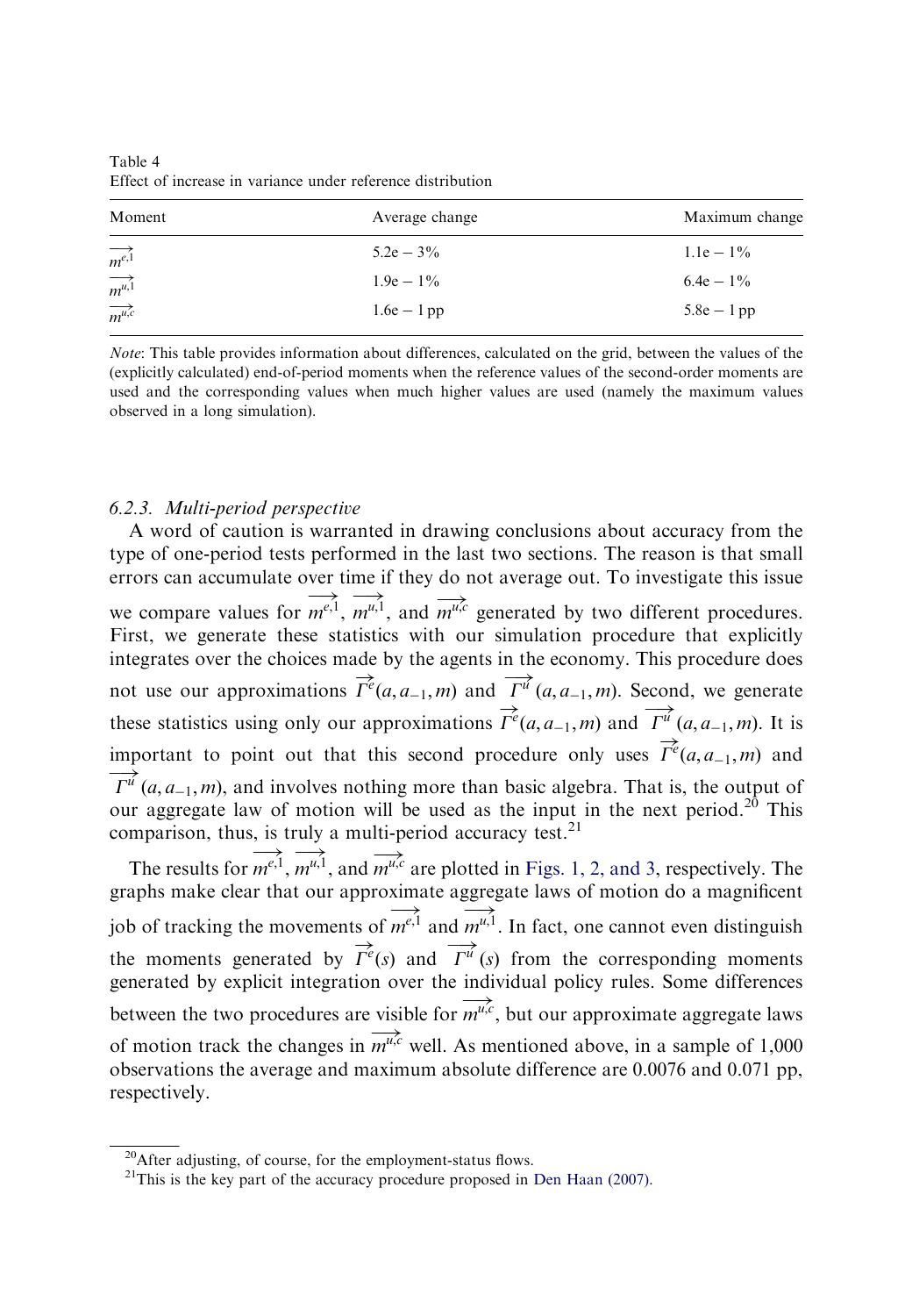| Moment                     | Average change | Maximum change |
|----------------------------|----------------|----------------|
| $\overrightarrow{m^{e,1}}$ | $5.2e - 3\%$   | $1.1e-1\%$     |
| $\overrightarrow{m^{u,1}}$ | $1.9e - 1\%$   | $6.4e - 1\%$   |
| $\overrightarrow{m^{u,c}}$ | $1.6e - 1$ pp  | $5.8e - 1$ pp  |

<span id="page-18-0"></span>Table 4 Effect of increase in variance under reference distribution

Note: This table provides information about differences, calculated on the grid, between the values of the (explicitly calculated) end-of-period moments when the reference values of the second-order moments are used and the corresponding values when much higher values are used (namely the maximum values observed in a long simulation).

# 6.2.3. Multi-period perspective

A word of caution is warranted in drawing conclusions about accuracy from the type of one-period tests performed in the last two sections. The reason is that small errors can accumulate over time if they do not average out. To investigate this issue we compare values for  $\overrightarrow{m^{e,1}}$ ,  $\overrightarrow{m^{u,1}}$ , and  $\overrightarrow{m^{u,c}}$  generated by two different procedures. First, we generate these statistics with our simulation procedure that explicitly integrates over the choices made by the agents in the economy. This procedure does not use our approximations  $\overrightarrow{\Gamma}^e(a, a_{-1}, m)$  and  $\overrightarrow{\Gamma}^u(a, a_{-1}, m)$ . Second, we generate these statistics using only our approximations  $\overrightarrow{\Gamma}^e(a, a_{-1}, m)$  and  $\overrightarrow{\Gamma^u}(a, a_{-1}, m)$ . It is important to point out that this second procedure only uses  $\overrightarrow{I}^e(a, a_{-1}, m)$  and  $\overrightarrow{\Gamma}$  (*a*, *a*<sub>-1</sub>, *m*), and involves nothing more than basic algebra. That is, the output of our aggregate law of motion will be used as the input in the next period.<sup>20</sup> This comparison, thus, is truly a multi-period accuracy test. $21$ 

The results for  $\overrightarrow{m^{e,1}}$ ,  $\overrightarrow{m^{u,1}}$ , and  $\overrightarrow{m^{u,c}}$  are plotted in [Figs. 1, 2, and 3,](#page-19-0) respectively. The graphs make clear that our approximate aggregate laws of motion do a magnificent job of tracking the movements of  $\overrightarrow{m^{e,1}}$  and  $\overrightarrow{m^{u,1}}$ . In fact, one cannot even distinguish the moments generated by  $\overrightarrow{f}^e(s)$  and  $\overrightarrow{f}^u(s)$  from the corresponding moments generated by explicit integration over the individual policy rules. Some differences between the two procedures are visible for  $\overrightarrow{m^{u,c}}$ , but our approximate aggregate laws of motion track the changes in  $\overrightarrow{m^{u,c}}$  well. As mentioned above, in a sample of 1,000 observations the average and maximum absolute difference are 0.0076 and 0.071 pp, respectively.

 $20$ After adjusting, of course, for the employment-status flows.

<sup>&</sup>lt;sup>21</sup>This is the key part of the accuracy procedure proposed in [Den Haan \(2007\).](#page-32-0)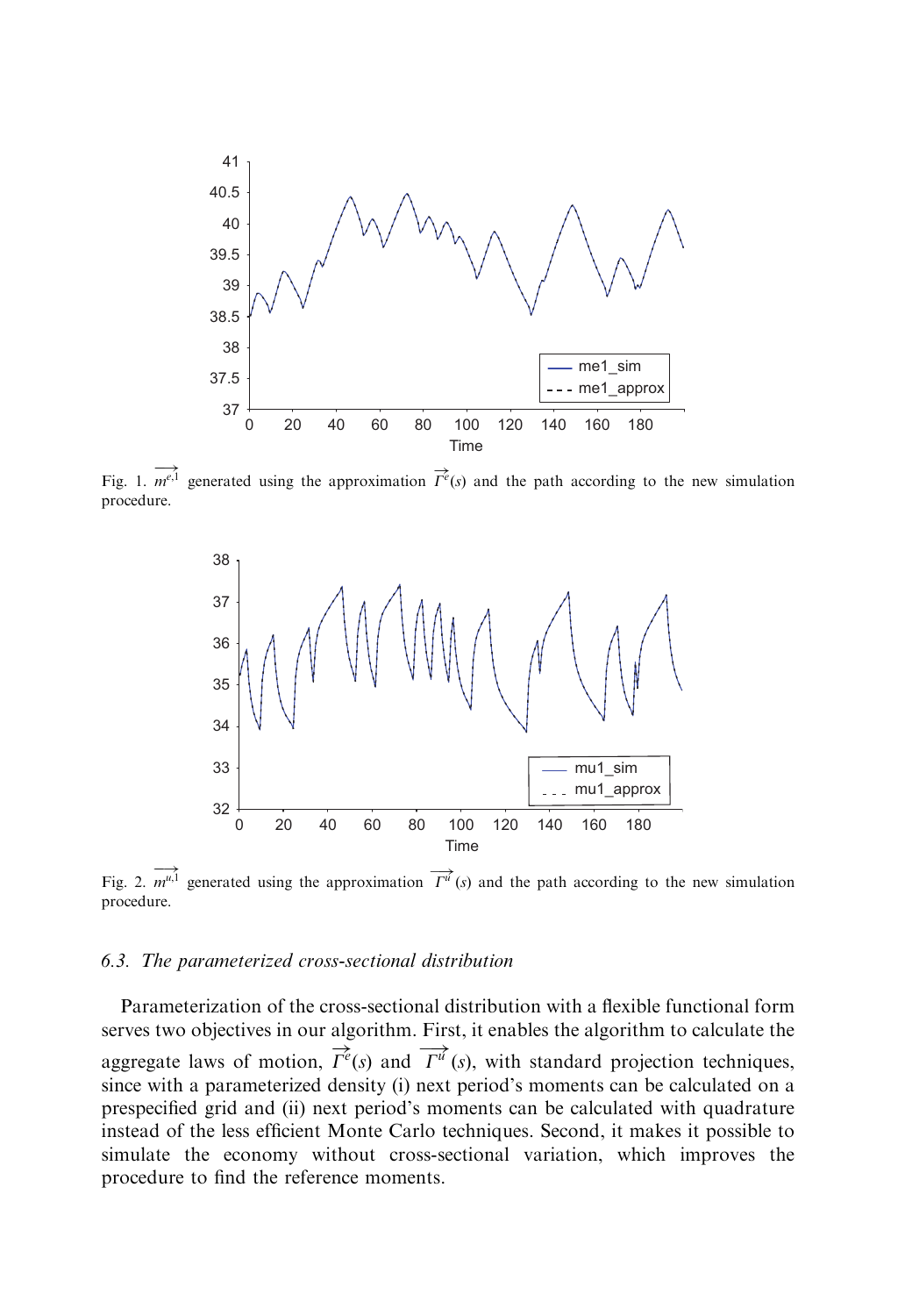<span id="page-19-0"></span>

Fig. 1.  $\overrightarrow{m^{e,1}}$  generated using the approximation  $\overrightarrow{f^e}(s)$  and the path according to the new simulation procedure.



Fig. 2.  $\overrightarrow{m^{u}}$  generated using the approximation  $\overrightarrow{I^{u}}(s)$  and the path according to the new simulation procedure.

# 6.3. The parameterized cross-sectional distribution

Parameterization of the cross-sectional distribution with a flexible functional form serves two objectives in our algorithm. First, it enables the algorithm to calculate the aggregate laws of motion,  $\overrightarrow{I^e}(s)$  and  $\overrightarrow{I^u}(s)$ , with standard projection techniques, since with a parameterized density (i) next period's moments can be calculated on a prespecified grid and (ii) next period's moments can be calculated with quadrature instead of the less efficient Monte Carlo techniques. Second, it makes it possible to simulate the economy without cross-sectional variation, which improves the procedure to find the reference moments.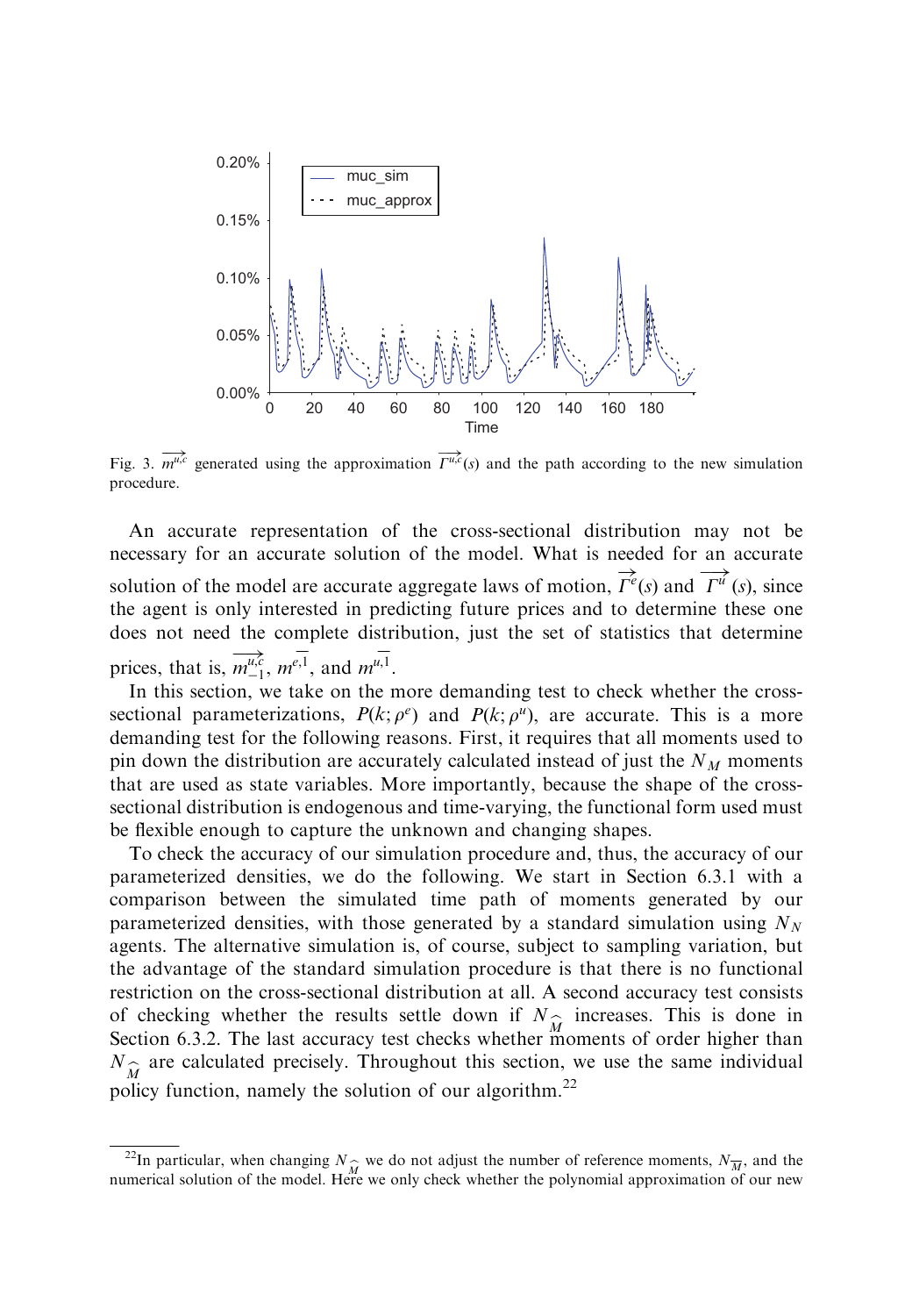

Fig. 3.  $\overrightarrow{m^{u,c}}$  generated using the approximation  $\overrightarrow{L^{u,c}}(s)$  and the path according to the new simulation procedure.

An accurate representation of the cross-sectional distribution may not be necessary for an accurate solution of the model. What is needed for an accurate solution of the model are accurate aggregate laws of motion,  $\overrightarrow{I}^e(s)$  and  $\overrightarrow{I}^u(s)$ , since the agent is only interested in predicting future prices and to determine these one does not need the complete distribution, just the set of statistics that determine prices, that is,  $\overrightarrow{m_{-1}^{u,c}}$ ,  $\overrightarrow{m_{-1}^{e,1}}$ , and  $\overrightarrow{m_{-1}}$ .

In this section, we take on the more demanding test to check whether the crosssectional parameterizations,  $P(k; \rho^e)$  and  $P(k; \rho^u)$ , are accurate. This is a more demanding test for the following reasons. First, it requires that all moments used to pin down the distribution are accurately calculated instead of just the  $N<sub>M</sub>$  moments that are used as state variables. More importantly, because the shape of the crosssectional distribution is endogenous and time-varying, the functional form used must be flexible enough to capture the unknown and changing shapes.

To check the accuracy of our simulation procedure and, thus, the accuracy of our parameterized densities, we do the following. We start in Section 6.3.1 with a comparison between the simulated time path of moments generated by our parameterized densities, with those generated by a standard simulation using  $N_N$ agents. The alternative simulation is, of course, subject to sampling variation, but the advantage of the standard simulation procedure is that there is no functional restriction on the cross-sectional distribution at all. A second accuracy test consists of checking whether the results settle down if  $N_{\hat{\omega}}$  increases. This is done in<br>Section 6.2.2. The leat ecouragy test checks whether moments of order higher than Section 6.3.2. The last accuracy test checks whether moments of order higher than  $N_{\widehat{M}}$  are calculated precisely. Throughout this section, we use the same individual policy function, namely the solution of our algorithm.<sup>22</sup>

<sup>&</sup>lt;sup>22</sup>In particular, when changing  $N_{\widehat{M}}$  we do not adjust the number of reference moments,  $N_{\overline{M}}$ , and the numerical solution of the model. Here we only check whether the polynomial approximation of our new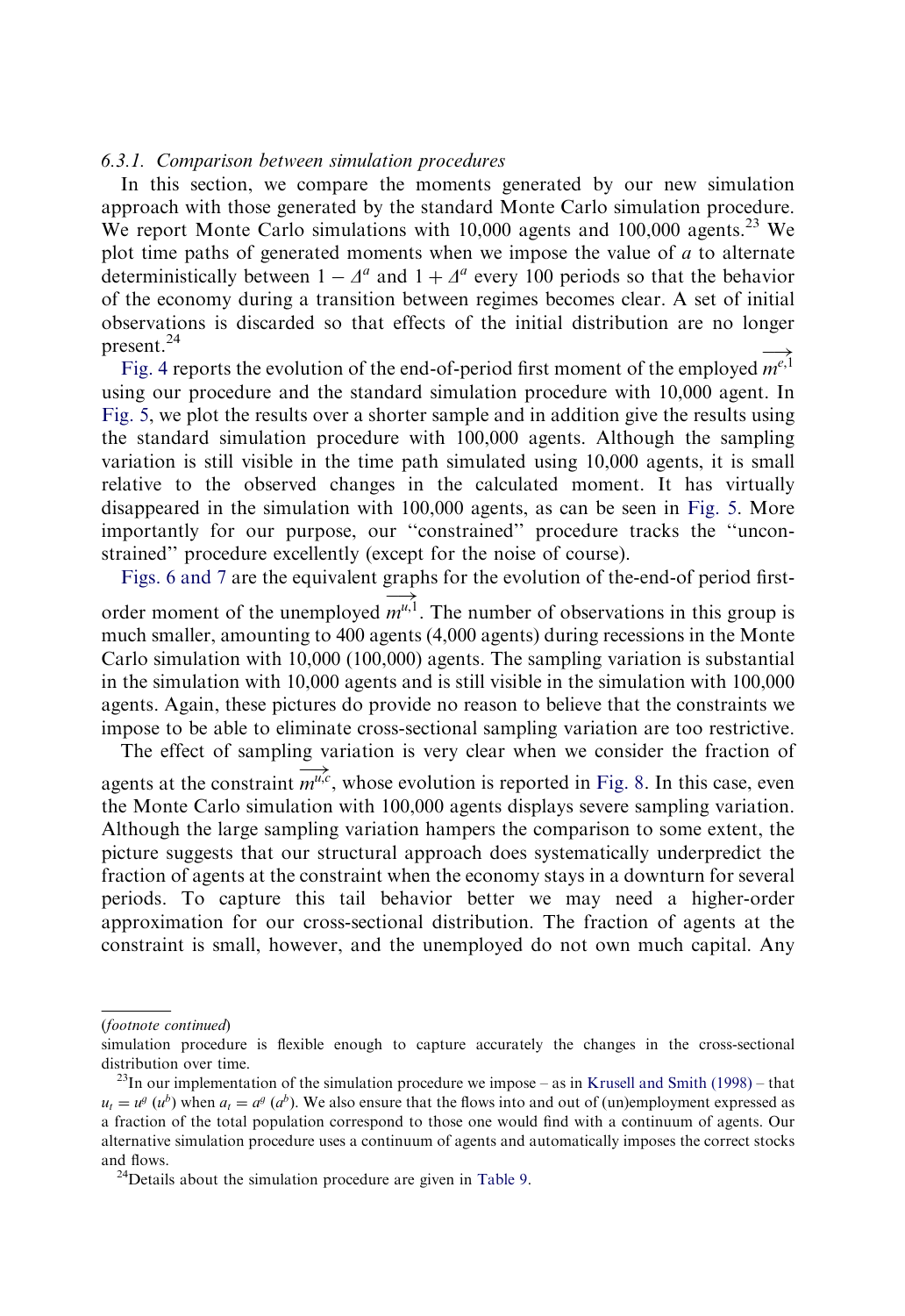# 6.3.1. Comparison between simulation procedures

In this section, we compare the moments generated by our new simulation approach with those generated by the standard Monte Carlo simulation procedure. We report Monte Carlo simulations with  $10,000$  agents and  $100,000$  agents.<sup>23</sup> We plot time paths of generated moments when we impose the value of  $a$  to alternate deterministically between  $1 - A^a$  and  $1 + A^a$  every 100 periods so that the behavior of the economy during a transition between regimes becomes clear. A set of initial observations is discarded so that effects of the initial distribution are no longer present.<sup>24</sup>

[Fig. 4](#page-22-0) reports the evolution of the end-of-period first moment of the employed  $m^{e,1}$ using our procedure and the standard simulation procedure with 10,000 agent. In [Fig. 5](#page-22-0), we plot the results over a shorter sample and in addition give the results using the standard simulation procedure with 100,000 agents. Although the sampling variation is still visible in the time path simulated using 10,000 agents, it is small relative to the observed changes in the calculated moment. It has virtually disappeared in the simulation with 100,000 agents, as can be seen in [Fig. 5](#page-22-0). More importantly for our purpose, our ''constrained'' procedure tracks the ''unconstrained'' procedure excellently (except for the noise of course).

[Figs. 6 and 7](#page-23-0) are the equivalent graphs for the evolution of the-end-of period firstorder moment of the unemployed  $\overline{m^{u,1}}$ . The number of observations in this group is much smaller, amounting to 400 agents (4,000 agents) during recessions in the Monte Carlo simulation with 10,000 (100,000) agents. The sampling variation is substantial in the simulation with 10,000 agents and is still visible in the simulation with 100,000 agents. Again, these pictures do provide no reason to believe that the constraints we impose to be able to eliminate cross-sectional sampling variation are too restrictive.

The effect of sampling variation is very clear when we consider the fraction of agents at the constraint  $\overrightarrow{m^{u,c}}$ , whose evolution is reported in [Fig. 8](#page-24-0). In this case, even the Monte Carlo simulation with 100,000 agents displays severe sampling variation. Although the large sampling variation hampers the comparison to some extent, the picture suggests that our structural approach does systematically underpredict the fraction of agents at the constraint when the economy stays in a downturn for several periods. To capture this tail behavior better we may need a higher-order approximation for our cross-sectional distribution. The fraction of agents at the constraint is small, however, and the unemployed do not own much capital. Any

<sup>(</sup>footnote continued)

simulation procedure is flexible enough to capture accurately the changes in the cross-sectional distribution over time.<br><sup>23</sup>In our implementation of the simulation procedure we impose – as in [Krusell and Smith \(1998\)](#page-32-0) – that

 $u_t = u^g (u^b)$  when  $a_t = a^g (a^b)$ . We also ensure that the flows into and out of (un)employment expressed as a fraction of the total population correspond to those one would find with a continuum of agents. Our alternative simulation procedure uses a continuum of agents and automatically imposes the correct stocks and flows.<br><sup>24</sup>Details about the simulation procedure are given in [Table 9.](#page-31-0)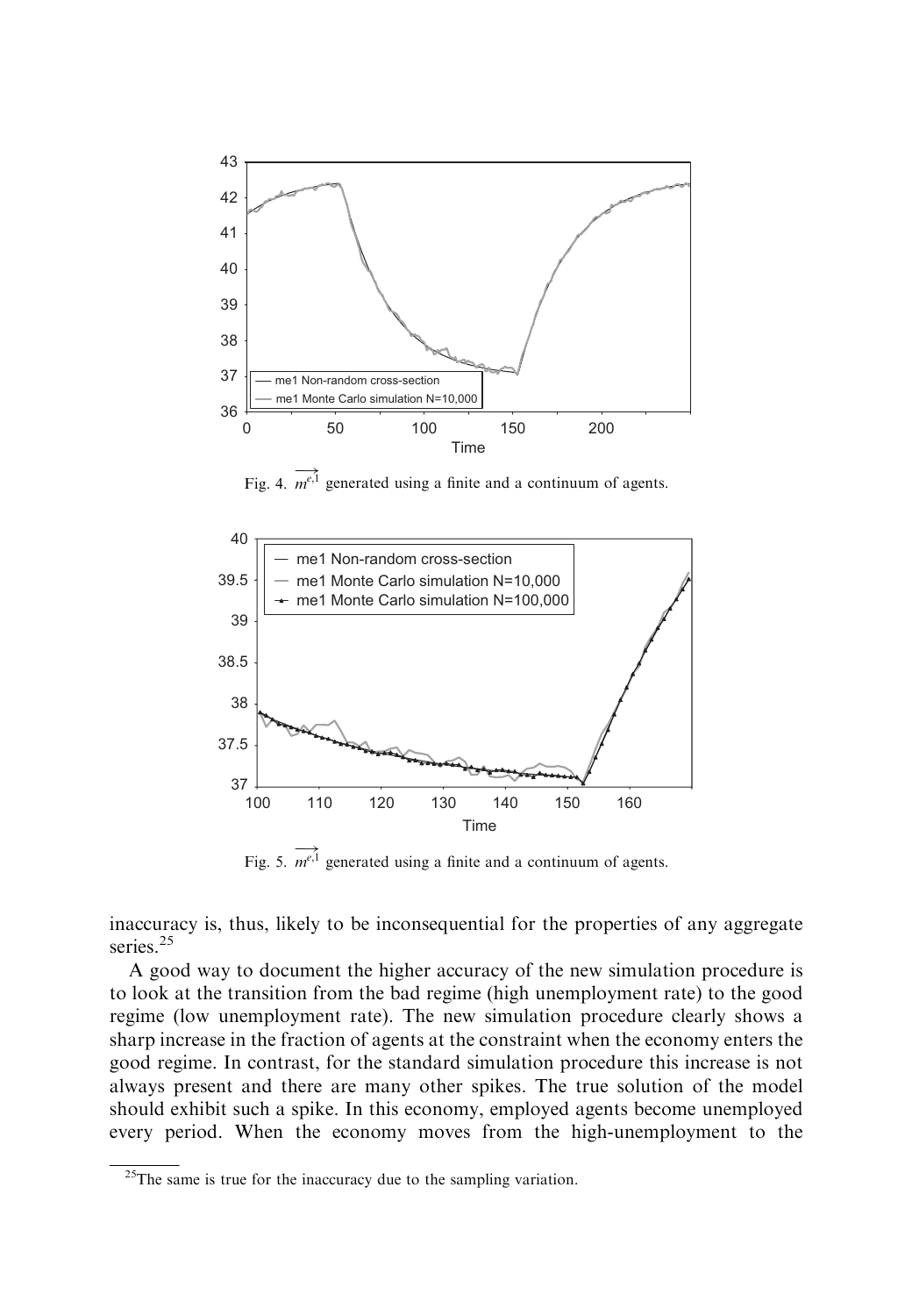<span id="page-22-0"></span>

Fig. 4.  $m^{e,1}$  generated using a finite and a continuum of agents.



Fig. 5.  $\overline{m^{e,1}}$  generated using a finite and a continuum of agents.

inaccuracy is, thus, likely to be inconsequential for the properties of any aggregate series.<sup>25</sup>

A good way to document the higher accuracy of the new simulation procedure is to look at the transition from the bad regime (high unemployment rate) to the good regime (low unemployment rate). The new simulation procedure clearly shows a sharp increase in the fraction of agents at the constraint when the economy enters the good regime. In contrast, for the standard simulation procedure this increase is not always present and there are many other spikes. The true solution of the model should exhibit such a spike. In this economy, employed agents become unemployed every period. When the economy moves from the high-unemployment to the

<sup>&</sup>lt;sup>25</sup>The same is true for the inaccuracy due to the sampling variation.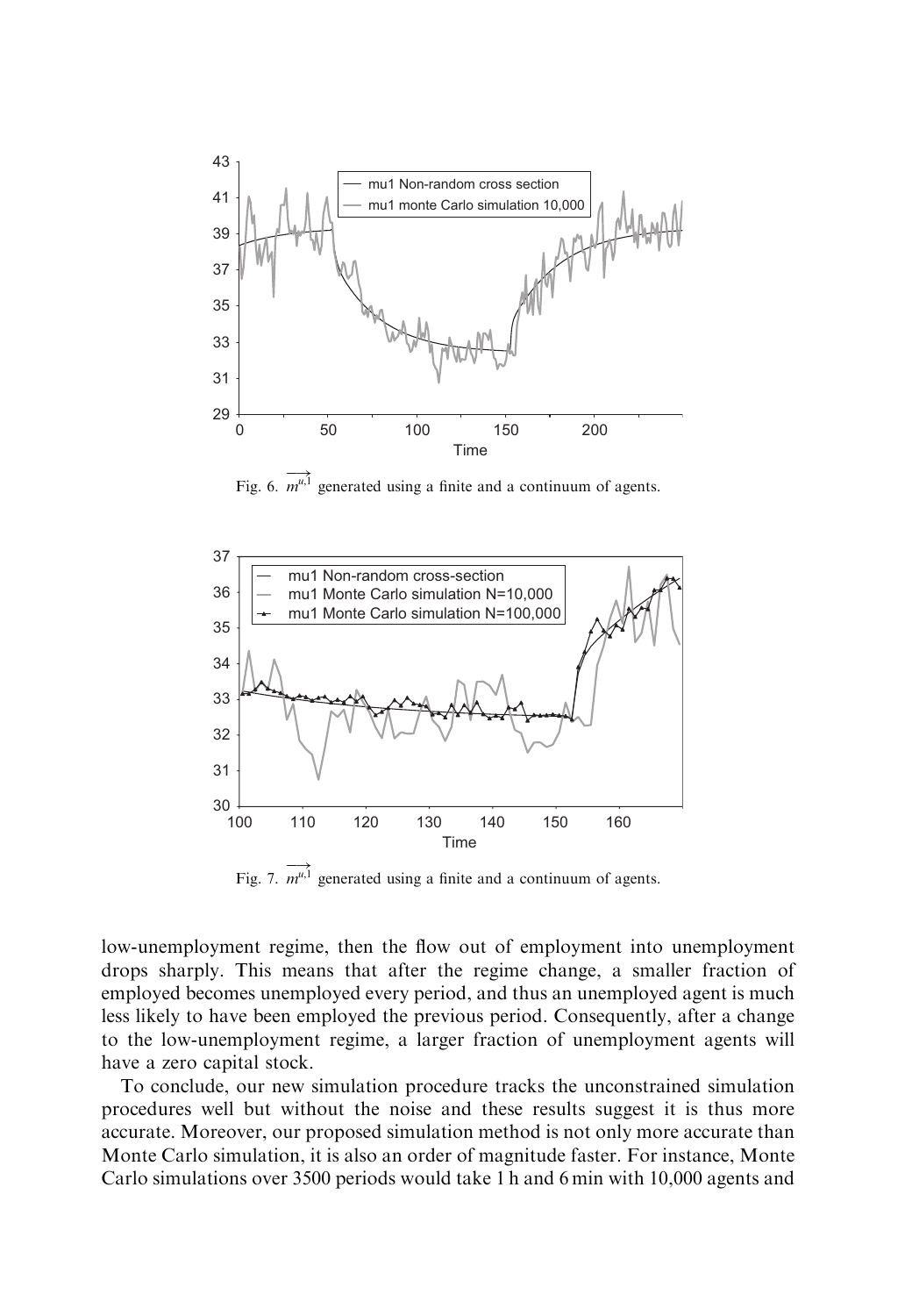<span id="page-23-0"></span>

Fig. 6.  $m^{u,1}$  generated using a finite and a continuum of agents.



Fig. 7.  $\overrightarrow{m^{u,1}}$  generated using a finite and a continuum of agents.

low-unemployment regime, then the flow out of employment into unemployment drops sharply. This means that after the regime change, a smaller fraction of employed becomes unemployed every period, and thus an unemployed agent is much less likely to have been employed the previous period. Consequently, after a change to the low-unemployment regime, a larger fraction of unemployment agents will have a zero capital stock.

To conclude, our new simulation procedure tracks the unconstrained simulation procedures well but without the noise and these results suggest it is thus more accurate. Moreover, our proposed simulation method is not only more accurate than Monte Carlo simulation, it is also an order of magnitude faster. For instance, Monte Carlo simulations over 3500 periods would take 1 h and 6 min with 10,000 agents and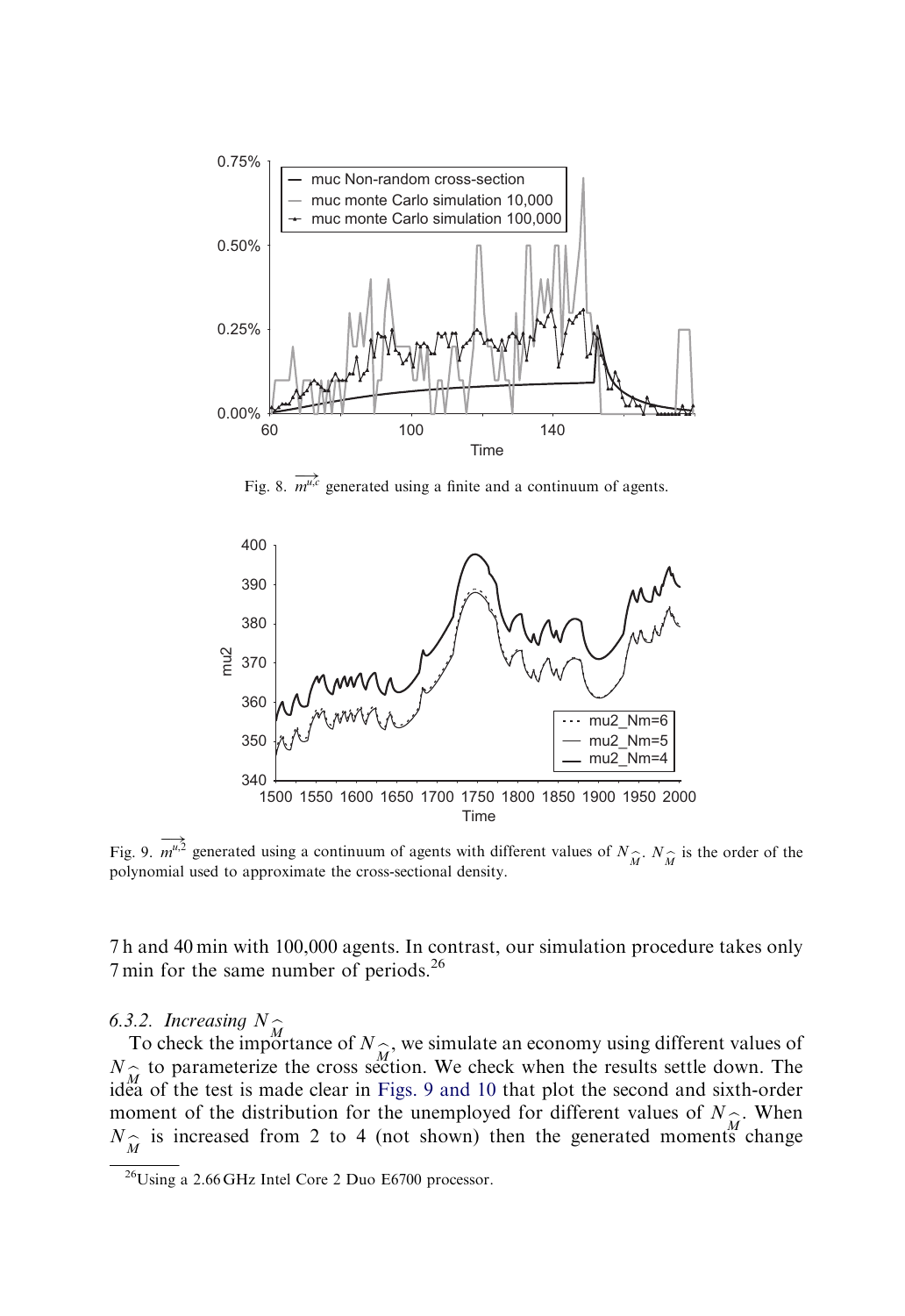<span id="page-24-0"></span>

Fig. 8.  $\overrightarrow{m^{u,c}}$  generated using a finite and a continuum of agents.



Fig. 9.  $\overrightarrow{m^{1/2}}$  generated using a continuum of agents with different values of  $N_{\widehat{M}}$ .  $N_{\widehat{M}}$  is the order of the polynomial used to approximate the cross-sectional density.

7 h and 40 min with 100,000 agents. In contrast, our simulation procedure takes only 7 min for the same number of periods.<sup>26</sup>

6.3.2. Increasing  $N_{\widehat{M}}$ <br>To check the importance of  $N_{\widehat{M}}$ , we simulate an economy using different values of<br> $N_{\widehat{M}}$  to parameterize the cross section. We check when the results settle down. The<br>id<sup>55</sup> of the t idea of the test is made clear in Figs. 9 and 10 that plot the second and sixth-order moment of the distribution for the unemployed for different values of  $N_{\hat{u}}$ . When moment of the distribution for the unemployed for different values of  $N_{\hat{M}}$ . When  $N_{\hat{M}}$  is increased from 2 to 4 (not shown) then the generated moments change

<sup>26</sup>Using a 2.66 GHz Intel Core 2 Duo E6700 processor.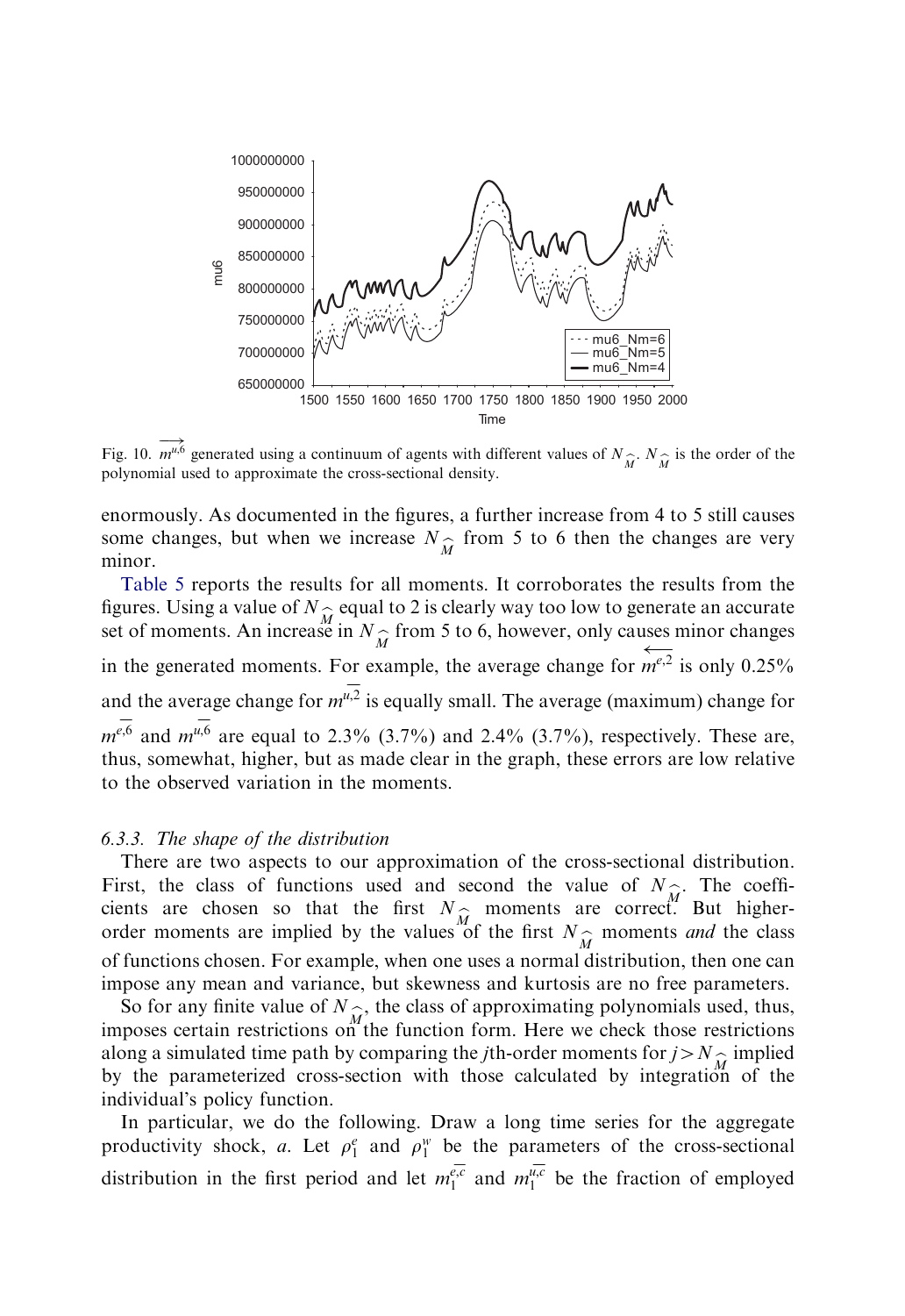

Fig. 10.  $\overline{m^{u'_0}}$  generated using a continuum of agents with different values of  $N_{\hat{u}}$ .  $N_{\hat{u}}$  is the order of the polynomial used to approximate the cross-sectional density.

enormously. As documented in the figures, a further increase from 4 to 5 still causes some changes, but when we increase  $N_{\widehat{M}}$  from 5 to 6 then the changes are very minor minor.

[Table 5](#page-26-0) reports the results for all moments. It corroborates the results from the figures. Using a value of  $N_{\widehat{M}}$  equal to 2 is clearly way too low to generate an accurate set of moments. An increase in  $N_{\widehat{M}}$  from 5 to 6, however, only causes minor changes in the generated moments. For example, the average change for  $m^{e,2}$  is only 0.25% and the average change for  $m^{\overline{u},\overline{2}}$  is equally small. The average (maximum) change for  $m^{e,\overline{6}}$  and  $m^{u,\overline{6}}$  are equal to 2.3% (3.7%) and 2.4% (3.7%), respectively. These are, thus, somewhat, higher, but as made clear in the graph, these errors are low relative to the observed variation in the moments.

#### 6.3.3. The shape of the distribution

There are two aspects to our approximation of the cross-sectional distribution. First, the class of functions used and second the value of  $N_{\hat{\alpha}}$ . The coeffi-<br>cients are above so that the first  $N_{\alpha}$  moments are correct. But higher cients are chosen so that the first  $N_{\hat{\alpha}}$  moments are correct. But higher-<br>order moments are implied by the values of the first N, moments and the close order moments are implied by the values of the first  $N_{\widehat{M}}$  moments and the class of functions chosen. For example, when one uses a normal distribution, then one can impose any mean and variance, but skewness and kurtosis are no free parameters.

So for any finite value of  $N_{\alpha}$ , the class of approximating polynomials used, thus, imposes certain restrictions on the function form. Here we check those restrictions along a simulated time path by comparing the *j*th-order moments for  $j > N_{\alpha}$  implied<br>by the normatorized execution with these selected by integration of the by the parameterized cross-section with those calculated by integration of the individual's policy function.

In particular, we do the following. Draw a long time series for the aggregate productivity shock, a. Let  $\rho_1^e$  and  $\rho_1^w$  be the parameters of the cross-sectional distribution in the first period and let  $m_1^{\overline{e,c}}$  and  $m_1^{\overline{u,c}}$  be the fraction of employed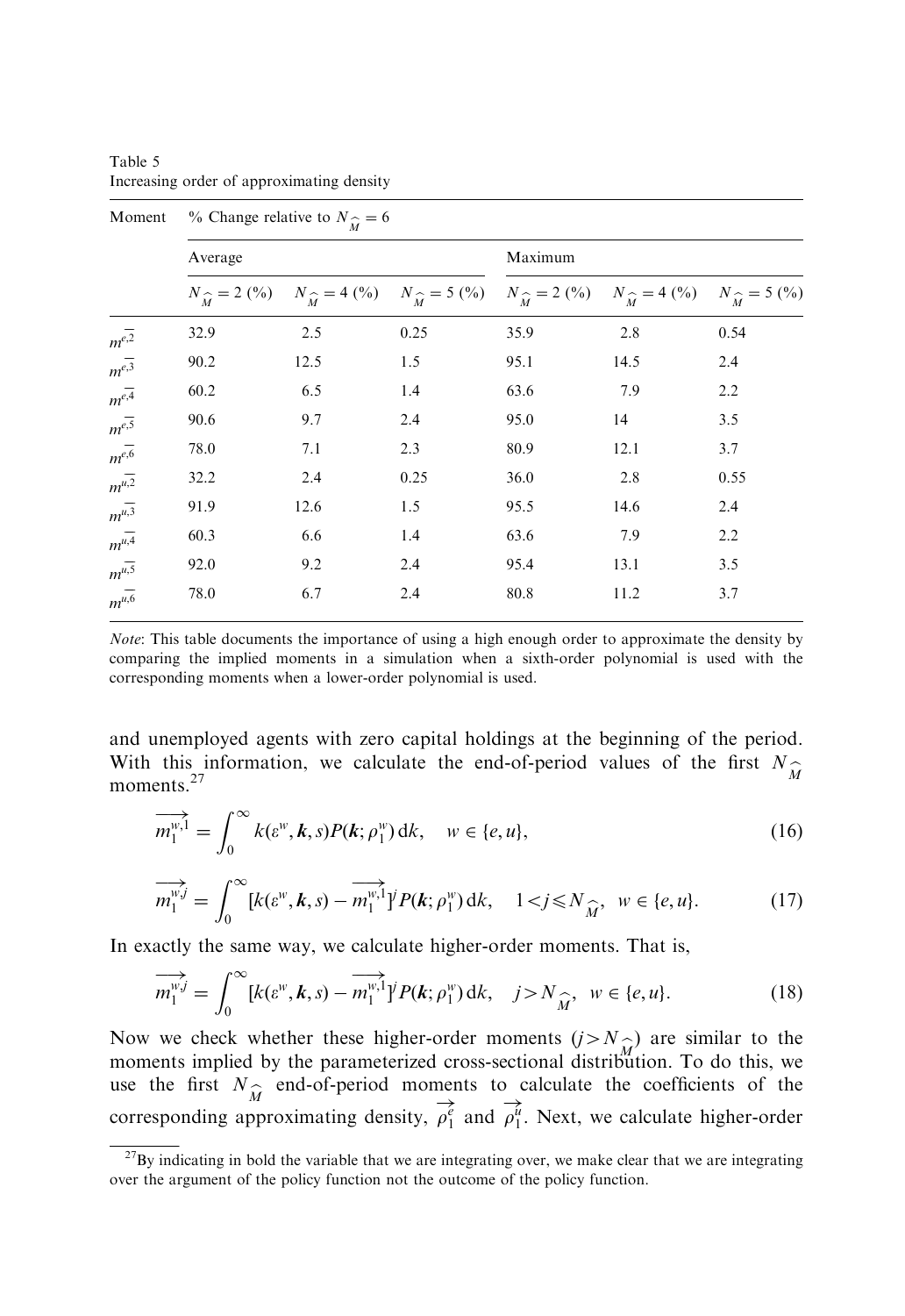| MONICII              |                       | 70 Change relative to $N \hat{N} = 0$ |                                             |                       |                       |                       |
|----------------------|-----------------------|---------------------------------------|---------------------------------------------|-----------------------|-----------------------|-----------------------|
|                      | Average               |                                       |                                             | Maximum               |                       |                       |
|                      | $N_{\hat{M}} = 2$ (%) |                                       | $N_{\hat{M}} = 4$ (%) $N_{\hat{M}} = 5$ (%) | $N_{\hat{M}} = 2$ (%) | $N_{\hat{M}} = 4$ (%) | $N_{\hat{M}} = 5$ (%) |
| $m^{e,\overline{2}}$ | 32.9                  | 2.5                                   | 0.25                                        | 35.9                  | 2.8                   | 0.54                  |
| $m^{e,\overline{3}}$ | 90.2                  | 12.5                                  | 1.5                                         | 95.1                  | 14.5                  | 2.4                   |
| $m^{e,\overline{4}}$ | 60.2                  | 6.5                                   | 1.4                                         | 63.6                  | 7.9                   | 2.2                   |
| $m^{e,5}$            | 90.6                  | 9.7                                   | 2.4                                         | 95.0                  | 14                    | 3.5                   |
| $\bar{m^{e,6}}$      | 78.0                  | 7.1                                   | 2.3                                         | 80.9                  | 12.1                  | 3.7                   |
| $\overline{m^{u,2}}$ | 32.2                  | 2.4                                   | 0.25                                        | 36.0                  | 2.8                   | 0.55                  |
| $m^{u,3}$            | 91.9                  | 12.6                                  | 1.5                                         | 95.5                  | 14.6                  | 2.4                   |
| $\bar{m^{u,4}}$      | 60.3                  | 6.6                                   | 1.4                                         | 63.6                  | 7.9                   | 2.2                   |
| $\bar{m^{u,5}}$      | 92.0                  | 9.2                                   | 2.4                                         | 95.4                  | 13.1                  | 3.5                   |
| $m^{u,6}$            | 78.0                  | 6.7                                   | 2.4                                         | 80.8                  | 11.2                  | 3.7                   |

<span id="page-26-0"></span>Table 5 Increasing order of approximating density  $M_0$  and  $M_0$   $\alpha$   $\alpha$   $\beta$   $\beta$   $\beta$   $\beta$   $\beta$ 

*Note*: This table documents the importance of using a high enough order to approximate the density by comparing the implied moments in a simulation when a sixth-order polynomial is used with the corresponding moments when a lower-order polynomial is used.

and unemployed agents with zero capital holdings at the beginning of the period. With this information, we calculate the end-of-period values of the first  $N_{\hat{M}}$  moments.<sup>27</sup>

$$
\overrightarrow{m_1^{w,1}} = \int_0^\infty k(\varepsilon^w, \mathbf{k}, s) P(\mathbf{k}; \rho_1^w) \, \mathrm{d}k, \quad w \in \{e, u\},\tag{16}
$$

$$
\overrightarrow{m_1^{w,j}} = \int_0^\infty [k(\varepsilon^w, \mathbf{k}, s) - \overrightarrow{m_1^{w,1}}]^j P(\mathbf{k}; \rho_1^w) \, \mathrm{d}k, \quad 1 < j \le N_{\widehat{M}}, \ w \in \{e, u\}. \tag{17}
$$

In exactly the same way, we calculate higher-order moments. That is,

$$
\overrightarrow{m_1^{w,j}} = \int_0^\infty [k(\varepsilon^w, \mathbf{k}, s) - \overrightarrow{m_1^{w,1}}]^j P(\mathbf{k}; \rho_1^w) \, \mathrm{d}k, \quad j > N_{\widehat{M}}, \quad w \in \{e, u\}. \tag{18}
$$

Now we check whether these higher-order moments  $(j>N_{\widehat{M}})$  are similar to the moments implied by the parameterized cross-sectional distribution. To do this, we use the first  $N_{\hat{M}}$  end-of-period moments to calculate the coefficients of the corresponding approximating density,  $\overrightarrow{\rho_1^e}$  and  $\overrightarrow{\rho_1^u}$ . Next, we calculate higher-order

 $27$ By indicating in bold the variable that we are integrating over, we make clear that we are integrating over the argument of the policy function not the outcome of the policy function.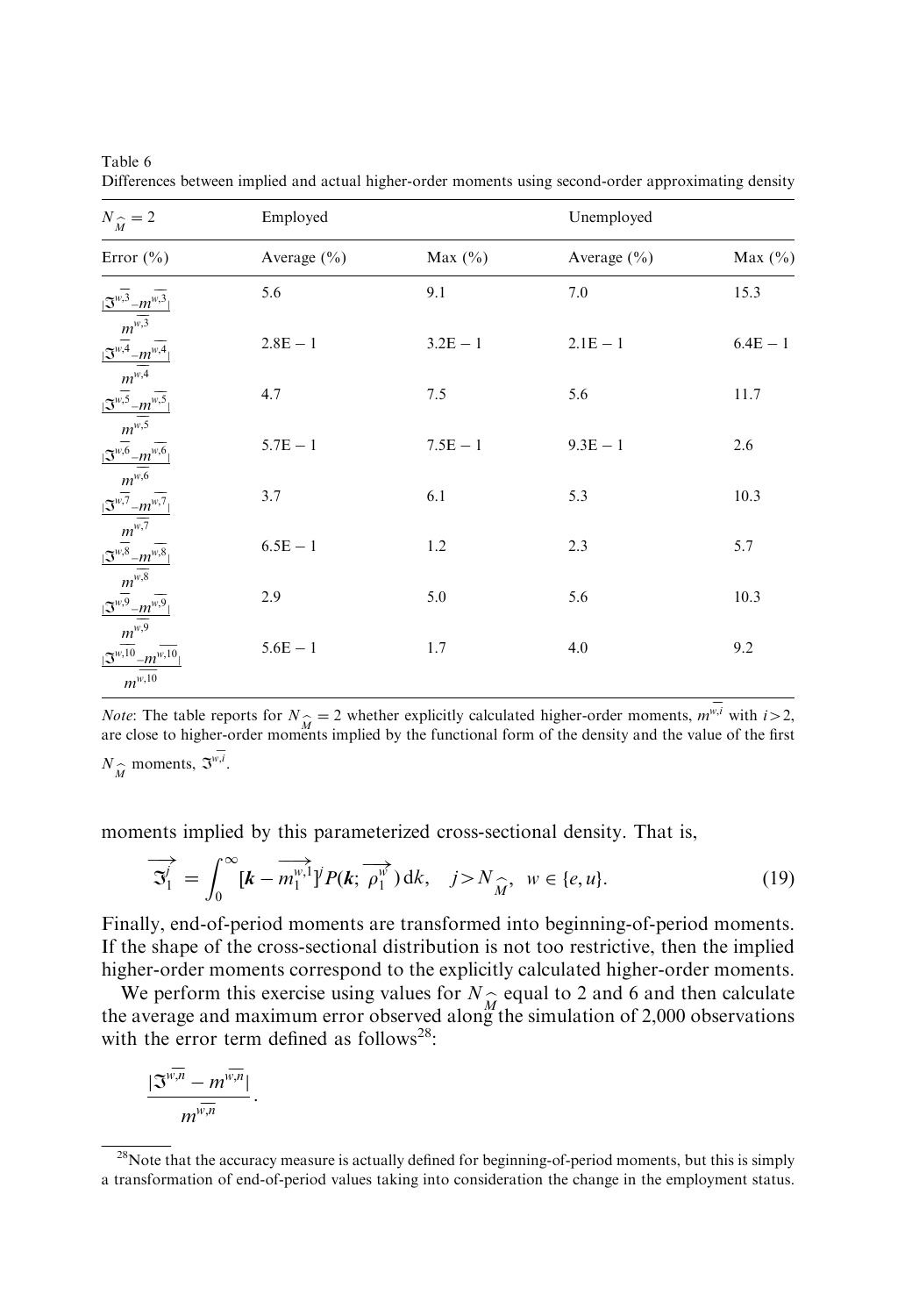<span id="page-27-0"></span>

| ١t |  |
|----|--|
|----|--|

| $N_{\widehat{M}}=2$                                                                                                                                                                                                                                                                          | Employed    |             | Unemployed      |             |
|----------------------------------------------------------------------------------------------------------------------------------------------------------------------------------------------------------------------------------------------------------------------------------------------|-------------|-------------|-----------------|-------------|
| Error $(\% )$                                                                                                                                                                                                                                                                                | Average (%) | Max $(\% )$ | Average $(\% )$ | Max $(\% )$ |
| $ \mathfrak{I}^{w,3} - m^{w,3} $                                                                                                                                                                                                                                                             | 5.6         | 9.1         | 7.0             | 15.3        |
| $\begin{aligned} &\frac{m^{w,3}}{12^{w,4}-m^{w,4}}\\ &\frac{m^{w,4}}{12^{w,5}-m^{w,5}}\\ &\frac{m^{w,5}}{12^{w,6}-m^{w,6}}\\ &\frac{m^{w,6}}{12^{w,7}-m^{w,7}}\\ &\frac{m^{w,7}}{12^{w,8}-m^{w,8}}\\ &\frac{m^{w,8}}{12^{w,9}-m^{w,9}}\\ &\frac{m^{w,8}}{12^{w,9}-m^{w,10}}\\ \end{aligned}$ | $2.8E - 1$  | $3.2E - 1$  | $2.1E - 1$      | $6.4E - 1$  |
|                                                                                                                                                                                                                                                                                              | 4.7         | 7.5         | 5.6             | 11.7        |
|                                                                                                                                                                                                                                                                                              | $5.7E - 1$  | $7.5E - 1$  | $9.3E - 1$      | 2.6         |
|                                                                                                                                                                                                                                                                                              | 3.7         | 6.1         | 5.3             | 10.3        |
|                                                                                                                                                                                                                                                                                              | $6.5E - 1$  | 1.2         | 2.3             | 5.7         |
|                                                                                                                                                                                                                                                                                              | 2.9         | 5.0         | 5.6             | 10.3        |
|                                                                                                                                                                                                                                                                                              | $5.6E - 1$  | 1.7         | 4.0             | 9.2         |
| $m^{\overline{w,10}}$                                                                                                                                                                                                                                                                        |             |             |                 |             |

Differences between implied and actual higher-order moments using second-order approximating density

*Note:* The table reports for  $N \geq 2$  whether explicitly calculated higher-order moments,  $m^{\overline{w_i}}$  with  $i>2$ , are close to higher-order moments implied by the functional form of the density and the value of the first  $N_{\widehat{M}}$  moments,  $\overline{\mathfrak{I}^{\mathfrak{w},i}}$ .

moments implied by this parameterized cross-sectional density. That is,

$$
\overrightarrow{\mathfrak{I}_{1}} = \int_{0}^{\infty} [\mathbf{k} - \overrightarrow{m_{1}^{w,1}}]^{j} P(\mathbf{k}; \overrightarrow{\rho_{1}^{w}}) \, \mathrm{d}k, \quad j > N_{\widehat{M}}, \quad w \in \{e, u\}. \tag{19}
$$

Finally, end-of-period moments are transformed into beginning-of-period moments. If the shape of the cross-sectional distribution is not too restrictive, then the implied higher-order moments correspond to the explicitly calculated higher-order moments.

We perform this exercise using values for  $N_{\widehat{M}}$  equal to 2 and 6 and then calculate the average and maximum error observed along the simulation of 2,000 observations with the error term defined as follows<sup>28</sup>:

$$
\frac{|\mathfrak{I}^{w,n}-m^{w,n}|}{m^{w,n}}.
$$

<sup>&</sup>lt;sup>28</sup>Note that the accuracy measure is actually defined for beginning-of-period moments, but this is simply a transformation of end-of-period values taking into consideration the change in the employment status.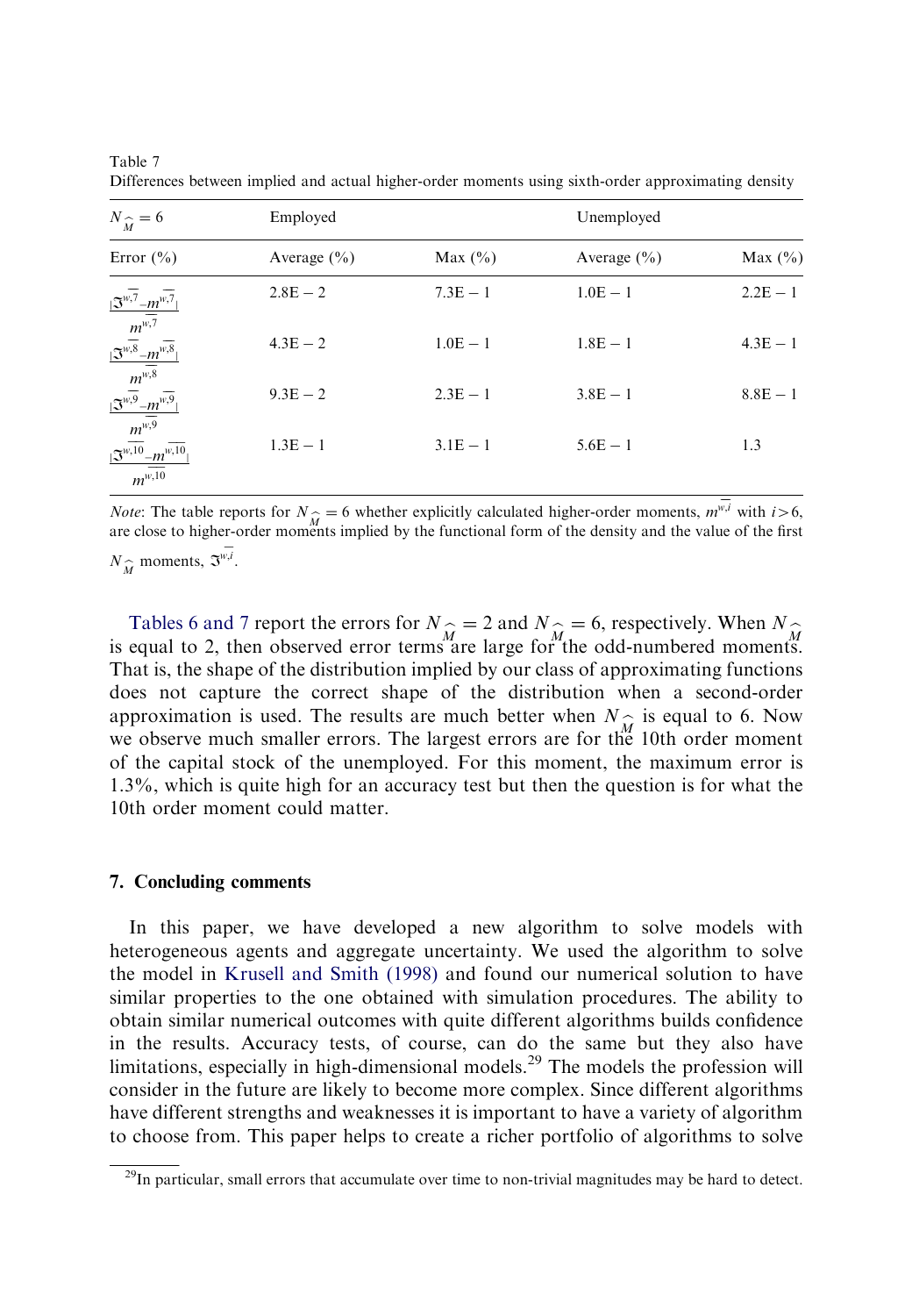| $N_{\widehat{M}}=6$                                                                                                                                     | Employed        |             | Unemployed      |             |
|---------------------------------------------------------------------------------------------------------------------------------------------------------|-----------------|-------------|-----------------|-------------|
| Error $(\% )$                                                                                                                                           | Average $(\% )$ | Max $(\% )$ | Average $(\% )$ | Max $(\% )$ |
|                                                                                                                                                         | $2.8E - 2$      | $7.3E - 1$  | $1.0E - 1$      | $2.2E - 1$  |
|                                                                                                                                                         | $4.3E - 2$      | $1.0E - 1$  | $1.8E - 1$      | $4.3E - 1$  |
|                                                                                                                                                         | $9.3E - 2$      | $2.3E - 1$  | $3.8E - 1$      | $8.8E - 1$  |
| $\frac{\frac{13^{w,7}-m^{w,7}}{m^{w,7}}}{\frac{13^{w,8}-m^{w,8}}{m^{w,8}}}}$<br>$\frac{m^{w,8}}{\frac{m^{w,9}}{m^{w,9}}}$<br>$\frac{m^{w,9}}{m^{w,10}}$ | $1.3E - 1$      | $3.1E - 1$  | $5.6E - 1$      | 1.3         |

Table 7 Differences between implied and actual higher-order moments using sixth-order approximating density

*Note:* The table reports for  $N \gtrsim 6$  whether explicitly calculated higher-order moments,  $m^{\overline{w_i}}$  with  $i>6$ , are close to higher and the value of the function of the function of the function of the function of the are close to higher-order moments implied by the functional form of the density and the value of the first

 $N_{\widehat{M}}$  moments,  $\overline{\mathfrak{I}^{\mathfrak{w},i}}$ .

[Tables 6 and 7](#page-27-0) report the errors for  $N_{\widehat{M}} = 2$  and  $N_{\widehat{M}} = 6$ , respectively. When  $N_{\widehat{M}}$  is equal to 2, then observed error terms are large for the odd-numbered moments. That is, the shape of the distribution implied by our class of approximating functions does not capture the correct shape of the distribution when a second-order approximation is used. The results are much better when  $N_{\alpha}$  is equal to 6. Now<br>we observe much smaller errors. The largest errors are for the 10th order moment we observe much smaller errors. The largest errors are for the 10th order moment of the capital stock of the unemployed. For this moment, the maximum error is 1.3%, which is quite high for an accuracy test but then the question is for what the 10th order moment could matter.

# 7. Concluding comments

In this paper, we have developed a new algorithm to solve models with heterogeneous agents and aggregate uncertainty. We used the algorithm to solve the model in [Krusell and Smith \(1998\)](#page-32-0) and found our numerical solution to have similar properties to the one obtained with simulation procedures. The ability to obtain similar numerical outcomes with quite different algorithms builds confidence in the results. Accuracy tests, of course, can do the same but they also have limitations, especially in high-dimensional models.<sup>29</sup> The models the profession will consider in the future are likely to become more complex. Since different algorithms have different strengths and weaknesses it is important to have a variety of algorithm to choose from. This paper helps to create a richer portfolio of algorithms to solve

 $^{29}$ In particular, small errors that accumulate over time to non-trivial magnitudes may be hard to detect.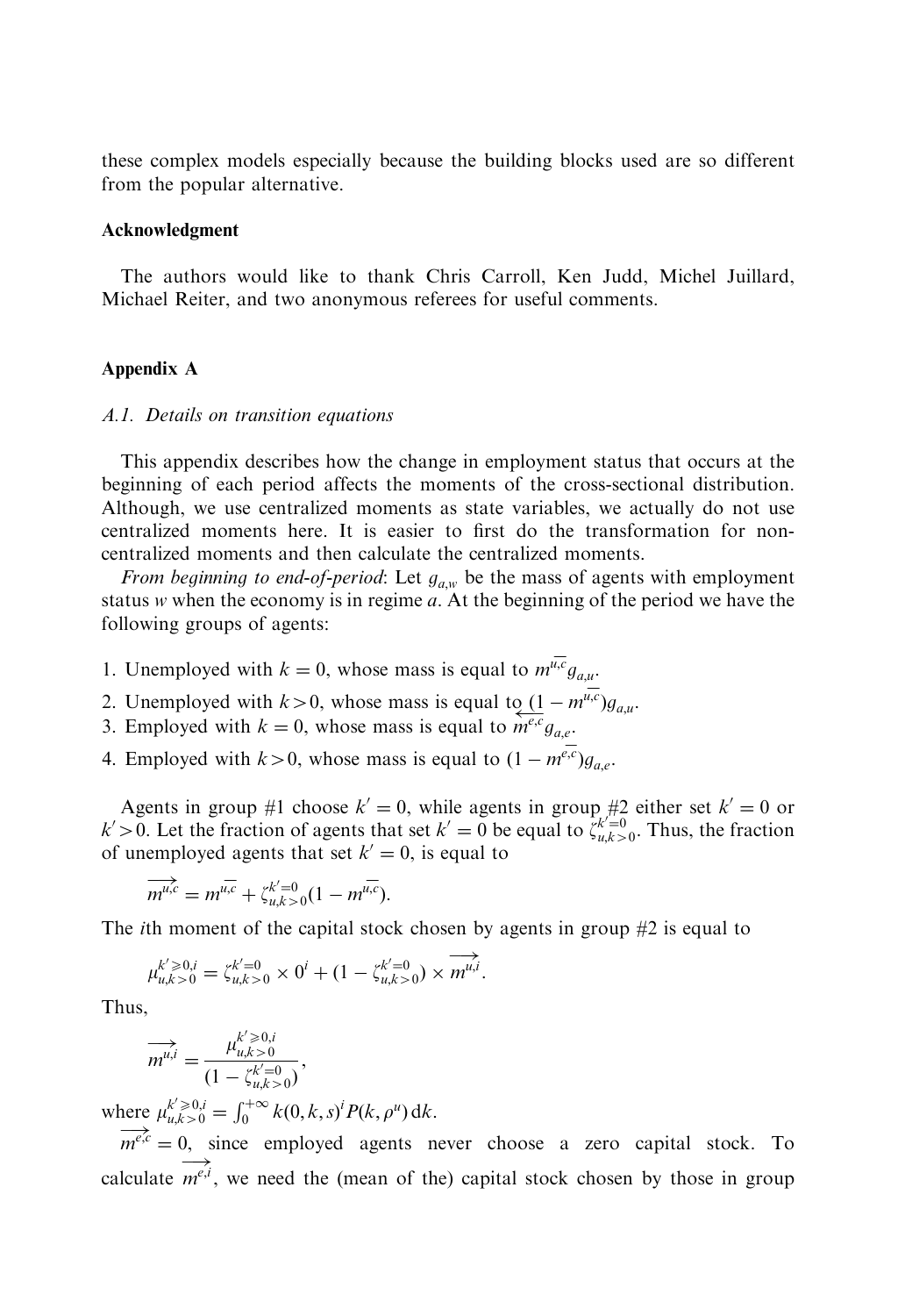these complex models especially because the building blocks used are so different from the popular alternative.

# Acknowledgment

The authors would like to thank Chris Carroll, Ken Judd, Michel Juillard, Michael Reiter, and two anonymous referees for useful comments.

# Appendix A

#### A.1. Details on transition equations

This appendix describes how the change in employment status that occurs at the beginning of each period affects the moments of the cross-sectional distribution. Although, we use centralized moments as state variables, we actually do not use centralized moments here. It is easier to first do the transformation for noncentralized moments and then calculate the centralized moments.

From beginning to end-of-period: Let  $g_{a,w}$  be the mass of agents with employment status w when the economy is in regime  $a$ . At the beginning of the period we have the following groups of agents:

- 1. Unemployed with  $k = 0$ , whose mass is equal to  $m^{\overline{u}c} g_{a,\mu}$ .
- 2. Unemployed with  $k > 0$ , whose mass is equal to  $(1 m^{u,\bar{c}})g_{a,u}$ .
- 3. Employed with  $k = 0$ , whose mass is equal to  $m^{e,c}g_{a,e}$ .
- 4. Employed with  $k > 0$ , whose mass is equal to  $(1 m^{e\overline{c}})g_{a,e}$ .

Agents in group #1 choose  $k' = 0$ , while agents in group #2 either set  $k' = 0$  or  $k' > 0$ . Let the fraction of agents that set  $k' = 0$  be equal to  $\zeta_{u,k>0}^{k'=0}$ . Thus, the fraction of unemployed agents that set  $k' = 0$ , is equal to

$$
\overrightarrow{m^{u,c}} = m^{u,c} + \zeta_{u,k>0}^{k'=0} (1 - m^{u,c}).
$$

The *i*th moment of the capital stock chosen by agents in group  $#2$  is equal to

$$
\mu_{u,k>0}^{k'\geq 0,i} = \zeta_{u,k>0}^{k'=0} \times 0^i + (1 - \zeta_{u,k>0}^{k'=0}) \times \overrightarrow{m^{u,i}}.
$$

Thus,

$$
\overrightarrow{m^{u,i}} = \frac{\mu_{u,k>0}^{k'\geqslant 0,i}}{(1 - \zeta_{u,k>0}^{k'=0})},
$$

where  $\mu_{u,k>0}^{k' \geq 0,i} = \int_0^{+\infty} k(0, k, s)^i P(k, \rho^u) dk$ .

 $m^{e,c} = 0$ , since employed agents never choose a zero capital stock. To calculate  $\overrightarrow{m^{e,i}}$ , we need the (mean of the) capital stock chosen by those in group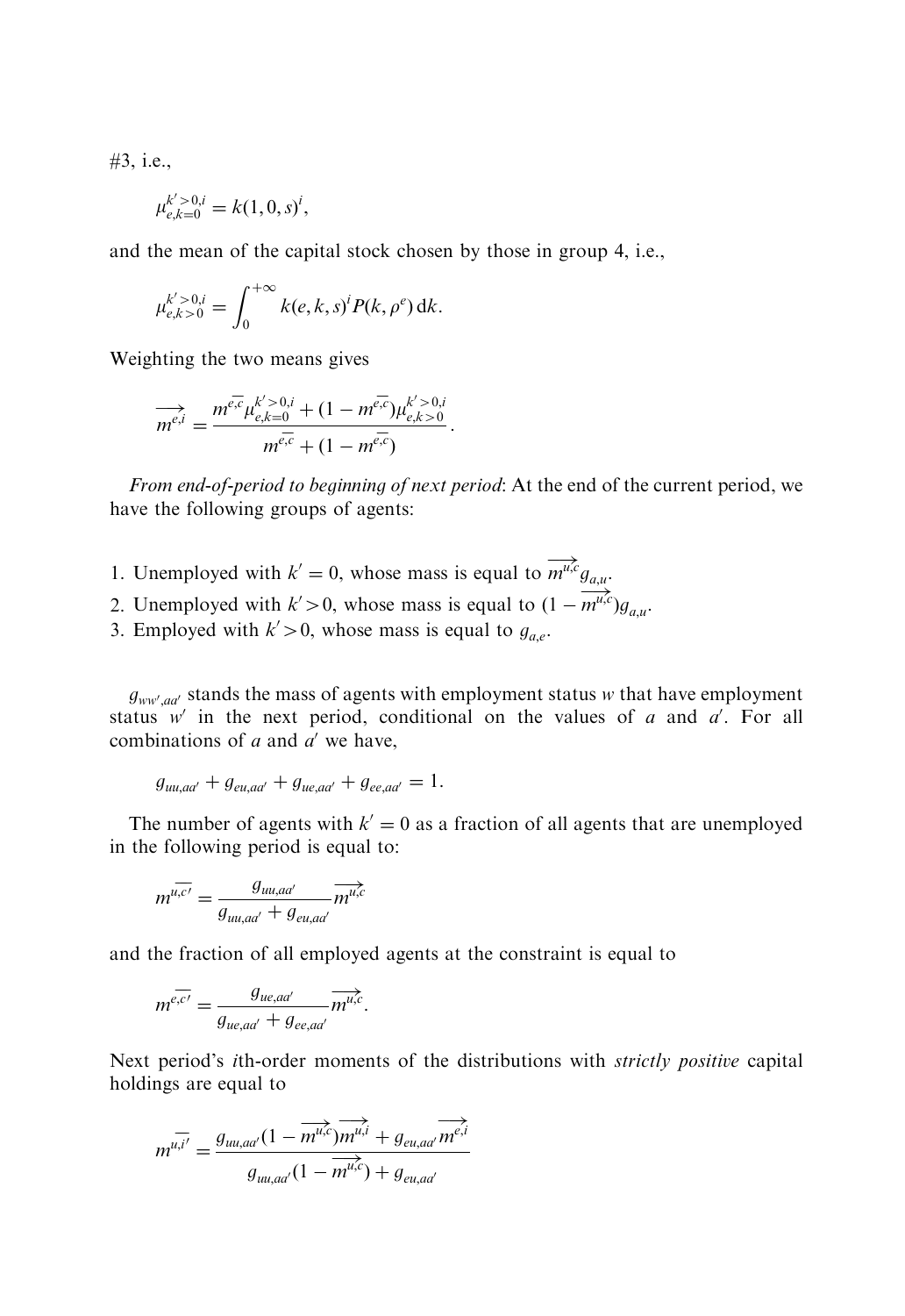#3, i.e.,

$$
\mu_{e,k=0}^{k'>0,i} = k(1,0,s)^i,
$$

and the mean of the capital stock chosen by those in group 4, i.e.,

$$
\mu_{e,k>0}^{k'>0,i} = \int_0^{+\infty} k(e,k,s)^i P(k,\rho^e) \, \mathrm{d}k.
$$

Weighting the two means gives

$$
\overrightarrow{m^{e,i}} = \frac{m^{e,\overline{c}}\mu_{e,k=0}^{k'>0,i} + (1 - m^{e,\overline{c}})\mu_{e,k>0}^{k'>0,i}}{m^{e,\overline{c}} + (1 - m^{e,\overline{c}})}.
$$

From end-of-period to beginning of next period: At the end of the current period, we have the following groups of agents:

- 1. Unemployed with  $k' = 0$ , whose mass is equal to  $\overline{m^{u,c}} g_{au}$ .
- 2. Unemployed with  $k' > 0$ , whose mass is equal to  $(1 m^{\mu/\epsilon})g_{a,\mu}$ .
- 3. Employed with  $k' > 0$ , whose mass is equal to  $g_{a,e}$ .

 $g_{ww'aa'}$  stands the mass of agents with employment status w that have employment status w' in the next period, conditional on the values of  $a$  and  $a'$ . For all combinations of a and  $\overline{a}$  we have,

$$
g_{uu,aa'} + g_{eu,aa'} + g_{ue,aa'} + g_{ee,aa'} = 1.
$$

The number of agents with  $k' = 0$  as a fraction of all agents that are unemployed in the following period is equal to:

$$
m^{\overline{u,c'}} = \frac{g_{uu,aa'}}{g_{uu,aa'} + g_{eu,aa'}} \overline{m^{\overline{u,c}}}
$$

and the fraction of all employed agents at the constraint is equal to

$$
m^{\overline{e,c'}} = \frac{g_{ue,aa'}}{g_{ue,aa'} + g_{ee,aa'}} \overline{m^{u,c}}.
$$

Next period's *i*th-order moments of the distributions with *strictly positive* capital holdings are equal to

$$
m^{\overline{u},\overline{i'}} = \frac{g_{uu,aa'}(1 - \overline{m^{u,c}})m^{\overline{u},i}}{g_{uu,aa'}(1 - \overline{m^{u,c}}) + g_{eu,aa'}} \overline{m^{e,i}}
$$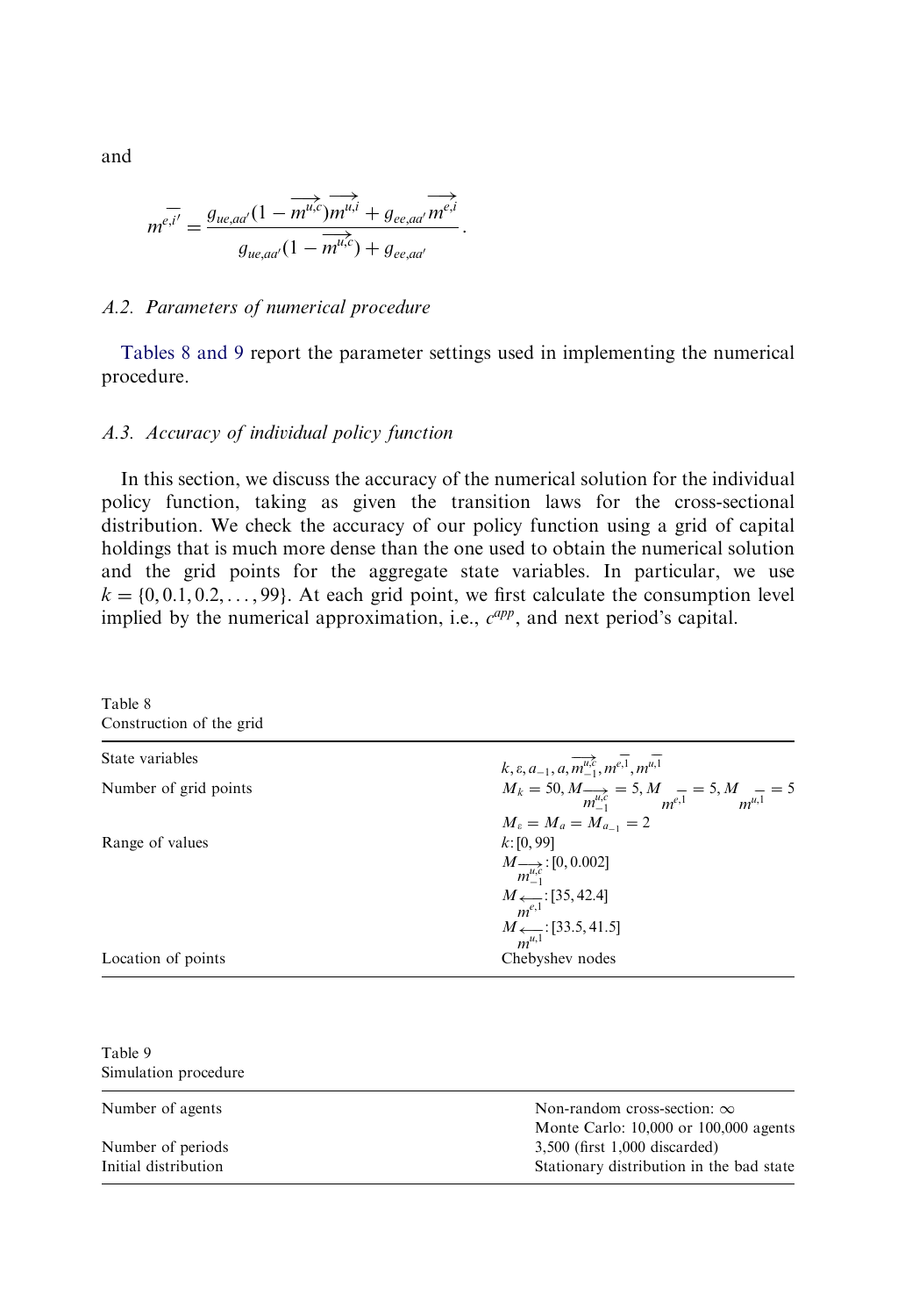<span id="page-31-0"></span>and

 $T = 1.1 - 8$ 

$$
m^{e,i'} = \frac{g_{ue,aa'}(1 - \overrightarrow{m^{u,c}}) \overrightarrow{m^{u,c}} + g_{ee,aa'} \overrightarrow{m^{e,i}}}{g_{ue,aa'}(1 - \overrightarrow{m^{u,c}}) + g_{ee,aa'}}.
$$

# A.2. Parameters of numerical procedure

Tables 8 and 9 report the parameter settings used in implementing the numerical procedure.

# A.3. Accuracy of individual policy function

In this section, we discuss the accuracy of the numerical solution for the individual policy function, taking as given the transition laws for the cross-sectional distribution. We check the accuracy of our policy function using a grid of capital holdings that is much more dense than the one used to obtain the numerical solution and the grid points for the aggregate state variables. In particular, we use  $k = \{0, 0.1, 0.2, \ldots, 99\}$ . At each grid point, we first calculate the consumption level implied by the numerical approximation, i.e.,  $c^{app}$ , and next period's capital.

| ravie o<br>Construction of the grid       |                                                                                                                                                                                                  |
|-------------------------------------------|--------------------------------------------------------------------------------------------------------------------------------------------------------------------------------------------------|
| State variables                           | $k, \varepsilon, a_{-1}, a, m_{-1}^{u,c}, m_{-1}^{e,\overline{1}}, m_{-1}^{u,\overline{1}}$                                                                                                      |
| Number of grid points                     | $M_k = 50, M_{\overrightarrow{m_{-1}^{u,c}}} = 5, M_{\overrightarrow{m_{-1}^{e,1}}} = 5, M_{\overrightarrow{m_{-1}^{u,1}}} = 5$                                                                  |
| Range of values                           | $M_{\epsilon} = M_a = M_{a-1} = 2$<br>k: [0, 99]<br>$M_{\overrightarrow{m^{u,c}_{-1}}}\:[0,0.002]$<br>$M_{\overline{m^{e,1}}}$ : [35, 42.4]<br>$M_{\overleftrightarrow{m^{u,1}}}$ : [33.5, 41.5] |
| Location of points                        | Chebyshev nodes                                                                                                                                                                                  |
| Table 9<br>Simulation procedure           |                                                                                                                                                                                                  |
| Number of agents                          | Non-random cross-section: $\infty$<br>Monte Carlo: 10,000 or 100,000 agents                                                                                                                      |
| Number of periods<br>Initial distribution | 3,500 (first 1,000 discarded)<br>Stationary distribution in the bad state                                                                                                                        |
|                                           |                                                                                                                                                                                                  |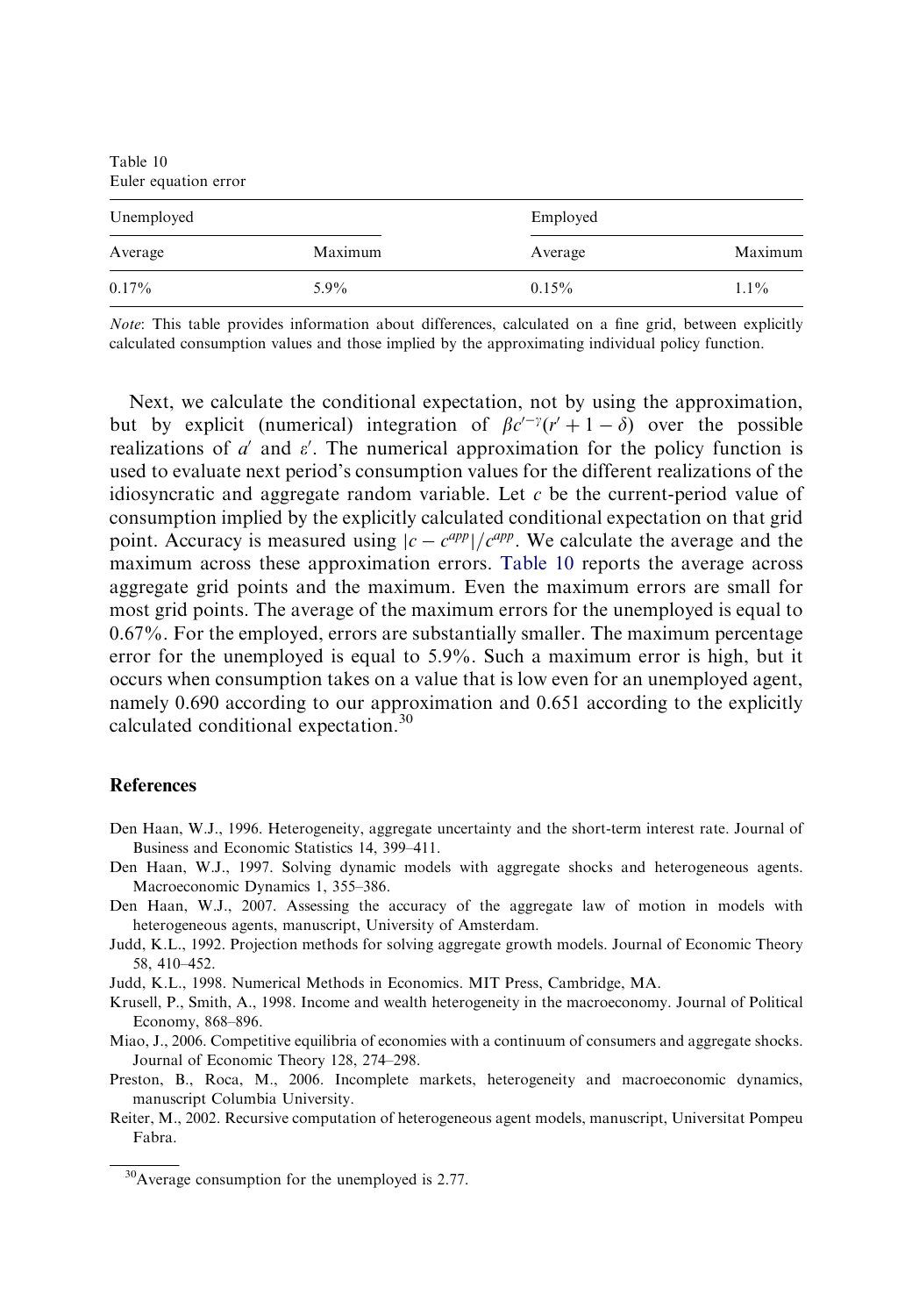<span id="page-32-0"></span>Table 10 Euler equation error

| Unemployed         |         | Employed |         |  |
|--------------------|---------|----------|---------|--|
| Maximum<br>Average |         | Average  | Maximum |  |
| $0.17\%$           | $5.9\%$ | $0.15\%$ | $1.1\%$ |  |

Note: This table provides information about differences, calculated on a fine grid, between explicitly calculated consumption values and those implied by the approximating individual policy function.

Next, we calculate the conditional expectation, not by using the approximation, but by explicit (numerical) integration of  $\beta c^{(-)}(r'+1-\delta)$  over the possible realizations of  $a'$  and  $\varepsilon'$ . The numerical approximation for the policy function is used to evaluate next period's consumption values for the different realizations of the idiosyncratic and aggregate random variable. Let  $c$  be the current-period value of consumption implied by the explicitly calculated conditional expectation on that grid point. Accuracy is measured using  $|c - c^{app}|/c^{app}$ . We calculate the average and the maximum across these approximation errors. Table 10 reports the average across aggregate grid points and the maximum. Even the maximum errors are small for most grid points. The average of the maximum errors for the unemployed is equal to 0.67%. For the employed, errors are substantially smaller. The maximum percentage error for the unemployed is equal to 5.9%. Such a maximum error is high, but it occurs when consumption takes on a value that is low even for an unemployed agent, namely 0.690 according to our approximation and 0.651 according to the explicitly calculated conditional expectation.<sup>30</sup>

#### References

- Den Haan, W.J., 1996. Heterogeneity, aggregate uncertainty and the short-term interest rate. Journal of Business and Economic Statistics 14, 399–411.
- Den Haan, W.J., 1997. Solving dynamic models with aggregate shocks and heterogeneous agents. Macroeconomic Dynamics 1, 355–386.
- Den Haan, W.J., 2007. Assessing the accuracy of the aggregate law of motion in models with heterogeneous agents, manuscript, University of Amsterdam.
- Judd, K.L., 1992. Projection methods for solving aggregate growth models. Journal of Economic Theory 58, 410–452.
- Judd, K.L., 1998. Numerical Methods in Economics. MIT Press, Cambridge, MA.
- Krusell, P., Smith, A., 1998. Income and wealth heterogeneity in the macroeconomy. Journal of Political Economy, 868–896.

Miao, J., 2006. Competitive equilibria of economies with a continuum of consumers and aggregate shocks. Journal of Economic Theory 128, 274–298.

- Preston, B., Roca, M., 2006. Incomplete markets, heterogeneity and macroeconomic dynamics, manuscript Columbia University.
- Reiter, M., 2002. Recursive computation of heterogeneous agent models, manuscript, Universitat Pompeu Fabra.

<sup>30</sup>Average consumption for the unemployed is 2.77.